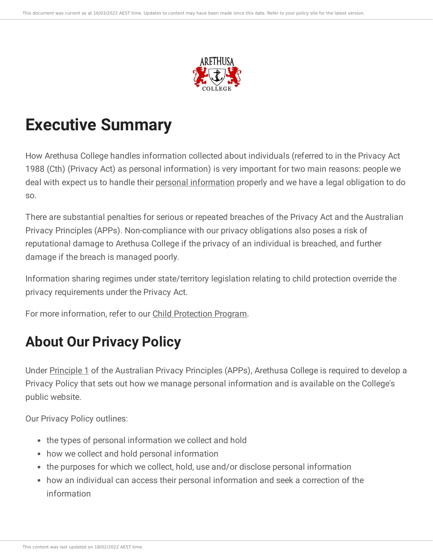

# **Executive Summary**

How Arethusa College handles information collected about individuals (referred to in the Privacy Act 1988 (Cth) (Privacy Act) as personal information) is very important for two main reasons: people we deal with expect us to handle their personal [information](https://ce-viewer.com/module/209/page/ff1017fc-5628-462c-8737-b0882b3fa402.md) properly and we have a legal obligation to do so.

There are substantial penalties for serious or repeated breaches of the Privacy Act and the Australian Privacy Principles (APPs). Non-compliance with our privacy obligations also poses a risk of reputational damage to Arethusa College if the privacy of an individual is breached, and further damage if the breach is managed poorly.

Information sharing regimes under state/territory legislation relating to child protection override the privacy requirements under the Privacy Act.

For more information, refer to our Child [Protection](https://ce-viewer.com/module/133/page/README.md) Program.

# **About Our Privacy Policy**

Under [Principle](https://ce-viewer.com/module/209/page/90246839-b11a-4c04-aaeb-486bf2e6641c.md) 1 of the Australian Privacy Principles (APPs), Arethusa College is required to develop a Privacy Policy that sets out how we manage personal information and is available on the College's public website.

Our Privacy Policy outlines:

- the types of personal information we collect and hold
- how we collect and hold personal information
- the purposes for which we collect, hold, use and/or disclose personal information
- how an individual can access their personal information and seek a correction of the information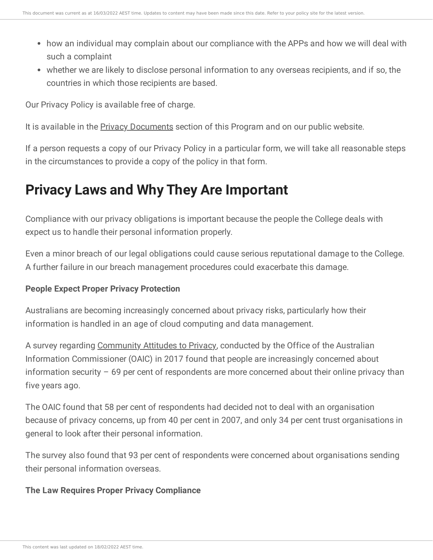- how an individual may complain about our compliance with the APPs and how we will deal with such a complaint
- whether we are likely to disclose personal information to any overseas recipients, and if so, the countries in which those recipients are based.

Our Privacy Policy is available free of charge.

It is available in the Privacy [Documents](https://ce-viewer.com/module/209/page/2dec2af4-450c-4c57-a088-650eac923f5e.md) section of this Program and on our public website.

If a person requests a copy of our Privacy Policy in a particular form, we will take all reasonable steps in the circumstances to provide a copy of the policy in that form.

# **Privacy Laws and Why They Are Important**

Compliance with our privacy obligations is important because the people the College deals with expect us to handle their personal information properly.

Even a minor breach of our legal obligations could cause serious reputational damage to the College. A further failure in our breach management procedures could exacerbate this damage.

## **People Expect Proper Privacy Protection**

Australians are becoming increasingly concerned about privacy risks, particularly how their information is handled in an age of cloud computing and data management.

A survey regarding [Community](https://www.oaic.gov.au/engage-with-us/community-attitudes/australian-community-attitudes-to-privacy-survey-2017) Attitudes to Privacy, conducted by the Office of the Australian Information Commissioner (OAIC) in 2017 found that people are increasingly concerned about information security – 69 per cent of respondents are more concerned about their online privacy than five years ago.

The OAIC found that 58 per cent of respondents had decided not to deal with an organisation because of privacy concerns, up from 40 per cent in 2007, and only 34 per cent trust organisations in general to look after their personal information.

The survey also found that 93 per cent of respondents were concerned about organisations sending their personal information overseas.

#### **The Law Requires Proper Privacy Compliance**

This content was last updated on 18/02/2022 AEST time.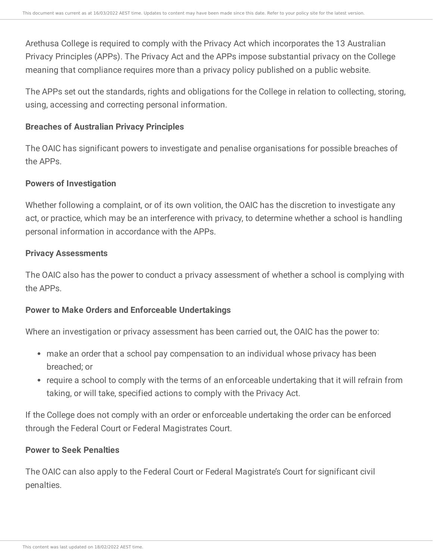Arethusa College is required to comply with the Privacy Act which incorporates the 13 Australian Privacy Principles (APPs). The Privacy Act and the APPs impose substantial privacy on the College meaning that compliance requires more than a privacy policy published on a public website.

The APPs set out the standards, rights and obligations for the College in relation to collecting, storing, using, accessing and correcting personal information.

#### **Breaches of Australian Privacy Principles**

The OAIC has significant powers to investigate and penalise organisations for possible breaches of the APPs.

#### **Powers of Investigation**

Whether following a complaint, or of its own volition, the OAIC has the discretion to investigate any act, or practice, which may be an interference with privacy, to determine whether a school is handling personal information in accordance with the APPs.

#### **Privacy Assessments**

The OAIC also has the power to conduct a privacy assessment of whether a school is complying with the APPs.

#### **Power to Make Orders and Enforceable Undertakings**

Where an investigation or privacy assessment has been carried out, the OAIC has the power to:

- make an order that a school pay compensation to an individual whose privacy has been breached; or
- require a school to comply with the terms of an enforceable undertaking that it will refrain from taking, or will take, specified actions to comply with the Privacy Act.

If the College does not comply with an order or enforceable undertaking the order can be enforced through the Federal Court or Federal Magistrates Court.

#### **Power to Seek Penalties**

The OAIC can also apply to the Federal Court or Federal Magistrate's Court for significant civil penalties.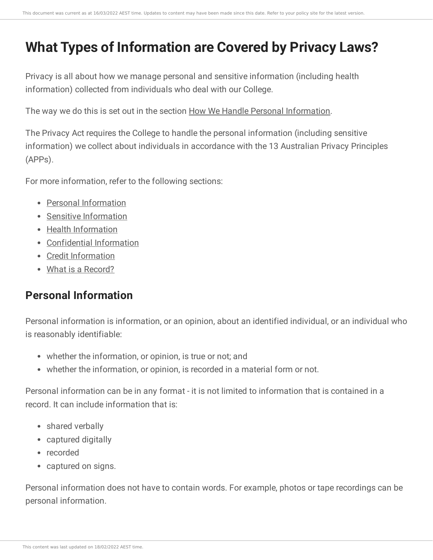# **What Types of Information are Covered by Privacy Laws?**

Privacy is all about how we manage personal and sensitive information (including health information) collected from individuals who deal with our College.

The way we do this is set out in the section How We Handle Personal [Information](https://ce-viewer.com/module/209/page/01d719c8-955c-4c37-a6f0-d762ac28b5e6.md).

The Privacy Act requires the College to handle the personal information (including sensitive information) we collect about individuals in accordance with the 13 Australian Privacy Principles (APPs).

For more information, refer to the following sections:

- Personal [Information](https://ce-viewer.com/module/209/page/ff1017fc-5628-462c-8737-b0882b3fa402.md)
- Sensitive [Information](https://ce-viewer.com/module/209/page/756ee0db-4641-408a-9380-204c9d206666.md)
- Health [Information](https://ce-viewer.com/module/209/page/16b22b4d-9436-4ed8-b6a0-12c3cad50179.md)
- [Confidential](https://ce-viewer.com/module/209/page/0abde4af-e1c4-4bf1-8aaf-23db37c670c2.md) Information
- Credit [Information](https://ce-viewer.com/module/209/page/7dbd8939-c442-4b75-8c02-f32201cf297b.md)
- What is a [Record?](https://ce-viewer.com/module/209/page/e2c95b15-9cea-46e9-a962-a84eedf529f3.md)

# **Personal Information**

Personal information is information, or an opinion, about an identified individual, or an individual who is reasonably identifiable:

- whether the information, or opinion, is true or not; and
- whether the information, or opinion, is recorded in a material form or not.

Personal information can be in any format - it is not limited to information that is contained in a record. It can include information that is:

- shared verbally
- captured digitally
- recorded
- captured on signs.

Personal information does not have to contain words. For example, photos or tape recordings can be personal information.

This content was last updated on 18/02/2022 AEST time.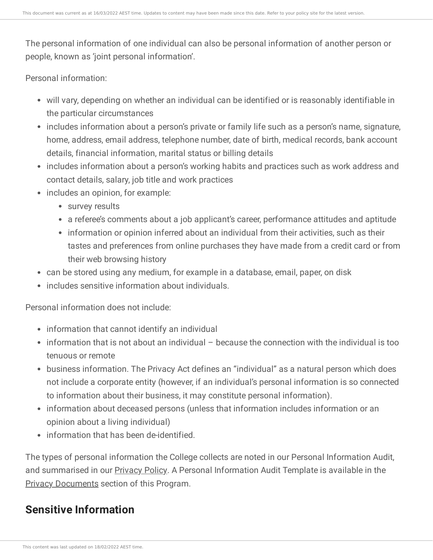The personal information of one individual can also be personal information of another person or people, known as 'joint personal information'.

Personal information:

- will vary, depending on whether an individual can be identified or is reasonably identifiable in the particular circumstances
- includes information about a person's private or family life such as a person's name, signature, home, address, email address, telephone number, date of birth, medical records, bank account details, financial information, marital status or billing details
- includes information about a person's working habits and practices such as work address and contact details, salary, job title and work practices
- includes an opinion, for example:
	- survey results
	- a referee's comments about a job applicant's career, performance attitudes and aptitude
	- information or opinion inferred about an individual from their activities, such as their tastes and preferences from online purchases they have made from a credit card or from their web browsing history
- can be stored using any medium, for example in a database, email, paper, on disk
- includes sensitive information about individuals.

Personal information does not include:

- information that cannot identify an individual
- $\bullet$  information that is not about an individual because the connection with the individual is too tenuous or remote
- business information. The Privacy Act defines an "individual" as a natural person which does not include a corporate entity (however, if an individual's personal information is so connected to information about their business, it may constitute personal information).
- information about deceased persons (unless that information includes information or an opinion about a living individual)
- information that has been de-identified.

The types of personal information the College collects are noted in our Personal Information Audit, and summarised in our **[Privacy](https://ce-viewer.com/module/209/page/d05f60a5-0e19-4485-96ff-d3a6890962ca.md) Policy**. A Personal Information Audit Template is available in the **Privacy [Documents](https://ce-viewer.com/module/209/page/2dec2af4-450c-4c57-a088-650eac923f5e.md) section of this Program.** 

# **Sensitive Information**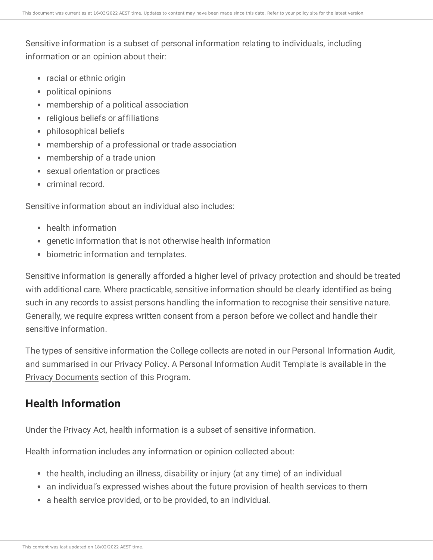Sensitive information is a subset of personal information relating to individuals, including information or an opinion about their:

- racial or ethnic origin
- political opinions
- membership of a political association
- religious beliefs or affiliations
- philosophical beliefs
- membership of a professional or trade association
- membership of a trade union
- sexual orientation or practices
- criminal record.

Sensitive information about an individual also includes:

- health information
- genetic information that is not otherwise health information
- biometric information and templates.

Sensitive information is generally afforded a higher level of privacy protection and should be treated with additional care. Where practicable, sensitive information should be clearly identified as being such in any records to assist persons handling the information to recognise their sensitive nature. Generally, we require express written consent from a person before we collect and handle their sensitive information.

The types of sensitive information the College collects are noted in our Personal Information Audit, and summarised in our **[Privacy](https://ce-viewer.com/module/209/page/d05f60a5-0e19-4485-96ff-d3a6890962ca.md) Policy**. A Personal Information Audit Template is available in the Privacy [Documents](https://ce-viewer.com/module/209/page/2dec2af4-450c-4c57-a088-650eac923f5e.md) section of this Program.

# **Health Information**

Under the Privacy Act, health information is a subset of sensitive information.

Health information includes any information or opinion collected about:

- the health, including an illness, disability or injury (at any time) of an individual
- an individual's expressed wishes about the future provision of health services to them
- a health service provided, or to be provided, to an individual.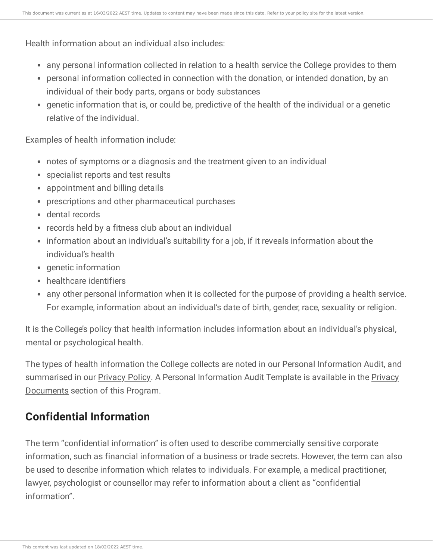Health information about an individual also includes:

- any personal information collected in relation to a health service the College provides to them
- personal information collected in connection with the donation, or intended donation, by an individual of their body parts, organs or body substances
- genetic information that is, or could be, predictive of the health of the individual or a genetic relative of the individual.

Examples of health information include:

- notes of symptoms or a diagnosis and the treatment given to an individual
- specialist reports and test results
- appointment and billing details
- prescriptions and other pharmaceutical purchases
- dental records
- records held by a fitness club about an individual
- information about an individual's suitability for a job, if it reveals information about the individual's health
- genetic information
- healthcare identifiers
- any other personal information when it is collected for the purpose of providing a health service. For example, information about an individual's date of birth, gender, race, sexuality or religion.

It is the College's policy that health information includes information about an individual's physical, mental or psychological health.

The types of health information the College collects are noted in our Personal Information Audit, and [summarised](https://ce-viewer.com/module/209/page/2dec2af4-450c-4c57-a088-650eac923f5e.md) in our [Privacy](https://ce-viewer.com/module/209/page/d05f60a5-0e19-4485-96ff-d3a6890962ca.md) Policy. A Personal Information Audit Template is available in the Privacy Documents section of this Program.

# **Confidential Information**

The term "confidential information" is often used to describe commercially sensitive corporate information, such as financial information of a business or trade secrets. However, the term can also be used to describe information which relates to individuals. For example, a medical practitioner, lawyer, psychologist or counsellor may refer to information about a client as "confidential information".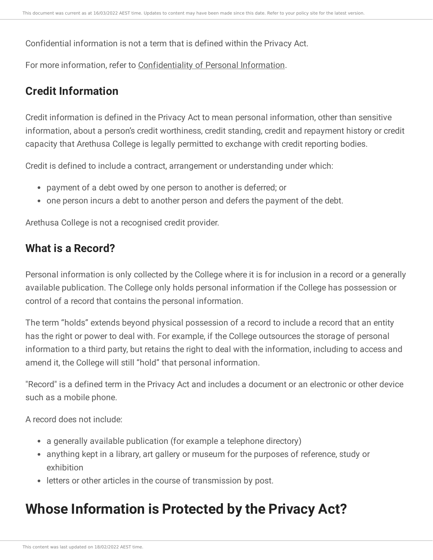Confidential information is not a term that is defined within the Privacy Act.

For more information, refer to [Confidentiality](https://ce-viewer.com/module/209/page/b9d78792-8025-4a88-810f-06a706149852.md) of Personal Information.

# **Credit Information**

Credit information is defined in the Privacy Act to mean personal information, other than sensitive information, about a person's credit worthiness, credit standing, credit and repayment history or credit capacity that Arethusa College is legally permitted to exchange with credit reporting bodies.

Credit is defined to include a contract, arrangement or understanding under which:

- payment of a debt owed by one person to another is deferred; or
- one person incurs a debt to another person and defers the payment of the debt.

Arethusa College is not a recognised credit provider.

# **What is a Record?**

Personal information is only collected by the College where it is for inclusion in a record or a generally available publication. The College only holds personal information if the College has possession or control of a record that contains the personal information.

The term "holds" extends beyond physical possession of a record to include a record that an entity has the right or power to deal with. For example, if the College outsources the storage of personal information to a third party, but retains the right to deal with the information, including to access and amend it, the College will still "hold" that personal information.

"Record" is a defined term in the Privacy Act and includes a document or an electronic or other device such as a mobile phone.

A record does not include:

- a generally available publication (for example a telephone directory)
- anything kept in a library, art gallery or museum for the purposes of reference, study or exhibition
- letters or other articles in the course of transmission by post.

# **Whose Information is Protected by the Privacy Act?**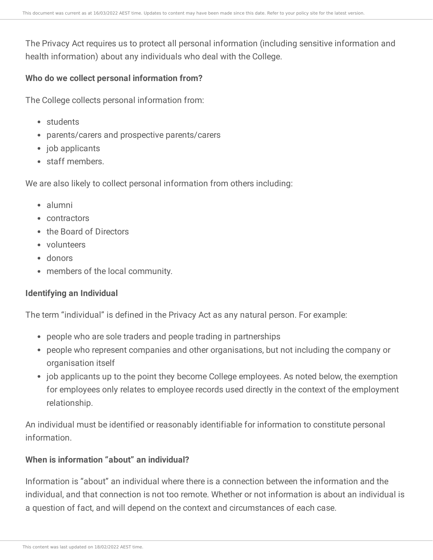The Privacy Act requires us to protect all personal information (including sensitive information and health information) about any individuals who deal with the College.

#### **Who do we collect personal information from?**

The College collects personal information from:

- students
- parents/carers and prospective parents/carers
- job applicants
- staff members.

We are also likely to collect personal information from others including:

- alumni
- contractors
- the Board of Directors
- volunteers
- donors
- members of the local community.

#### **Identifying an Individual**

The term "individual" is defined in the Privacy Act as any natural person. For example:

- people who are sole traders and people trading in partnerships
- people who represent companies and other organisations, but not including the company or organisation itself
- job applicants up to the point they become College employees. As noted below, the exemption for employees only relates to employee records used directly in the context of the employment relationship.

An individual must be identified or reasonably identifiable for information to constitute personal information.

#### **When is information "about" an individual?**

Information is "about" an individual where there is a connection between the information and the individual, and that connection is not too remote. Whether or not information is about an individual is a question of fact, and will depend on the context and circumstances of each case.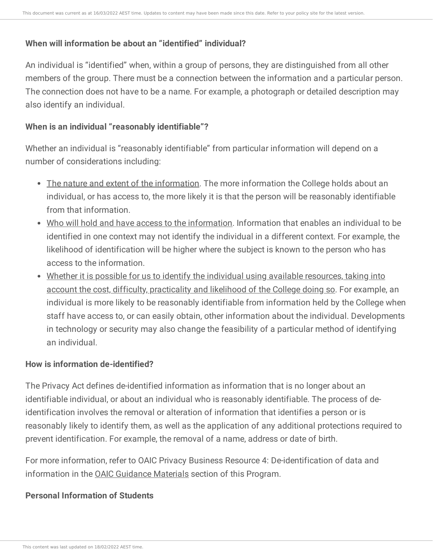## **When will information be about an "identified" individual?**

An individual is "identified" when, within a group of persons, they are distinguished from all other members of the group. There must be a connection between the information and a particular person. The connection does not have to be a name. For example, a photograph or detailed description may also identify an individual.

### **When is an individual "reasonably identifiable"?**

Whether an individual is "reasonably identifiable" from particular information will depend on a number of considerations including:

- The nature and extent of the information. The more information the College holds about an individual, or has access to, the more likely it is that the person will be reasonably identifiable from that information.
- Who will hold and have access to the information. Information that enables an individual to be identified in one context may not identify the individual in a different context. For example, the likelihood of identification will be higher where the subject is known to the person who has access to the information.
- Whether it is possible for us to identify the individual using available resources, taking into account the cost, difficulty, practicality and likelihood of the College doing so. For example, an individual is more likely to be reasonably identifiable from information held by the College when staff have access to, or can easily obtain, other information about the individual. Developments in technology or security may also change the feasibility of a particular method of identifying an individual.

## **How is information de-identified?**

The Privacy Act defines de-identified information as information that is no longer about an identifiable individual, or about an individual who is reasonably identifiable. The process of deidentification involves the removal or alteration of information that identifies a person or is reasonably likely to identify them, as well as the application of any additional protections required to prevent identification. For example, the removal of a name, address or date of birth.

For more information, refer to OAIC Privacy Business Resource 4: De-identification of data and information in the OAIC [Guidance](https://ce-viewer.com/module/209/page/a429c9a8-0529-44bb-9b2d-7edddba7f196.md) Materials section of this Program.

## **Personal Information of Students**

This content was last updated on 18/02/2022 AEST time.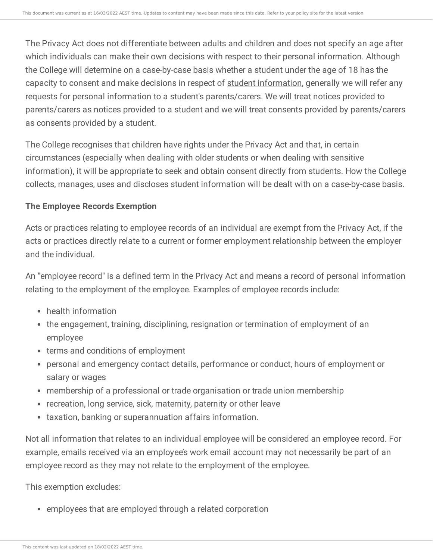The Privacy Act does not differentiate between adults and children and does not specify an age after which individuals can make their own decisions with respect to their personal information. Although the College will determine on a case-by-case basis whether a student under the age of 18 has the capacity to consent and make decisions in respect of student [information](https://ce-viewer.com/module/209/page/33002140-2db7-4ed6-820a-f7119d2f546a.md), generally we will refer any requests for personal information to a student's parents/carers. We will treat notices provided to parents/carers as notices provided to a student and we will treat consents provided by parents/carers as consents provided by a student.

The College recognises that children have rights under the Privacy Act and that, in certain circumstances (especially when dealing with older students or when dealing with sensitive information), it will be appropriate to seek and obtain consent directly from students. How the College collects, manages, uses and discloses student information will be dealt with on a case-by-case basis.

#### **The Employee Records Exemption**

Acts or practices relating to employee records of an individual are exempt from the Privacy Act, if the acts or practices directly relate to a current or former employment relationship between the employer and the individual.

An "employee record" is a defined term in the Privacy Act and means a record of personal information relating to the employment of the employee. Examples of employee records include:

- health information
- the engagement, training, disciplining, resignation or termination of employment of an employee
- terms and conditions of employment
- personal and emergency contact details, performance or conduct, hours of employment or salary or wages
- membership of a professional or trade organisation or trade union membership
- recreation, long service, sick, maternity, paternity or other leave
- taxation, banking or superannuation affairs information.

Not all information that relates to an individual employee will be considered an employee record. For example, emails received via an employee's work email account may not necessarily be part of an employee record as they may not relate to the employment of the employee.

This exemption excludes:

• employees that are employed through a related corporation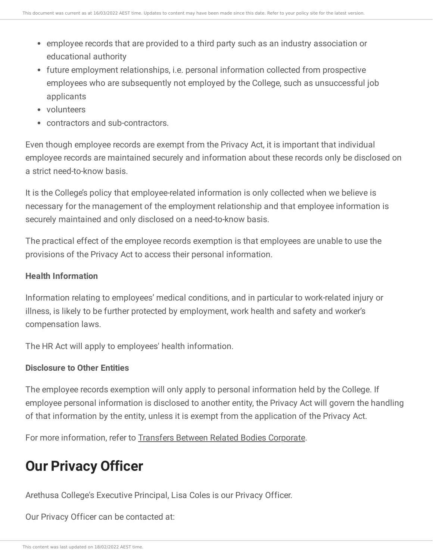- employee records that are provided to a third party such as an industry association or educational authority
- future employment relationships, i.e. personal information collected from prospective employees who are subsequently not employed by the College, such as unsuccessful job applicants
- volunteers
- contractors and sub-contractors.

Even though employee records are exempt from the Privacy Act, it is important that individual employee records are maintained securely and information about these records only be disclosed on a strict need-to-know basis.

It is the College's policy that employee-related information is only collected when we believe is necessary for the management of the employment relationship and that employee information is securely maintained and only disclosed on a need-to-know basis.

The practical effect of the employee records exemption is that employees are unable to use the provisions of the Privacy Act to access their personal information.

#### **Health Information**

Information relating to employees' medical conditions, and in particular to work-related injury or illness, is likely to be further protected by employment, work health and safety and worker's compensation laws.

The HR Act will apply to employees' health information.

## **Disclosure to Other Entities**

The employee records exemption will only apply to personal information held by the College. If employee personal information is disclosed to another entity, the Privacy Act will govern the handling of that information by the entity, unless it is exempt from the application of the Privacy Act.

For more information, refer to Transfers Between Related Bodies [Corporate.](https://ce-viewer.com/module/209/page/c7e69395-0c48-49f2-9089-5ed19ffdbb92.md)

# **Our Privacy Officer**

Arethusa College's Executive Principal, Lisa Coles is our Privacy Officer.

Our Privacy Officer can be contacted at: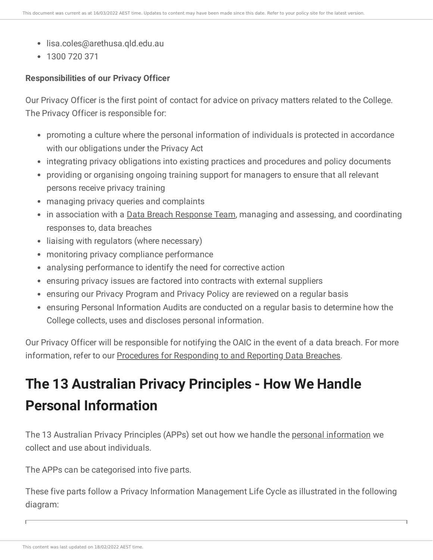- lisa.coles@arethusa.qld.edu.au
- 1300 720 371

## **Responsibilities of our Privacy Officer**

Our Privacy Officer is the first point of contact for advice on privacy matters related to the College. The Privacy Officer is responsible for:

- promoting a culture where the personal information of individuals is protected in accordance with our obligations under the Privacy Act
- integrating privacy obligations into existing practices and procedures and policy documents
- providing or organising ongoing training support for managers to ensure that all relevant persons receive privacy training
- managing privacy queries and complaints
- in association with a Data Breach [Response](https://ce-viewer.com/module/209/page/b31f1d36-7727-4867-b083-3bb96a56b47f.md) Team, managing and assessing, and coordinating responses to, data breaches
- liaising with regulators (where necessary)
- monitoring privacy compliance performance
- analysing performance to identify the need for corrective action
- ensuring privacy issues are factored into contracts with external suppliers
- ensuring our Privacy Program and Privacy Policy are reviewed on a regular basis
- ensuring Personal Information Audits are conducted on a regular basis to determine how the College collects, uses and discloses personal information.

Our Privacy Officer will be responsible for notifying the OAIC in the event of a data breach. For more information, refer to our Procedures for [Responding](https://ce-viewer.com/module/209/page/b7d4f254-31e7-4492-9ab2-c5ce684edc55.md) to and Reporting Data Breaches.

# **The 13 Australian Privacy Principles - How We Handle Personal Information**

The 13 Australian Privacy Principles (APPs) set out how we handle the personal [information](https://ce-viewer.com/module/209/page/ff1017fc-5628-462c-8737-b0882b3fa402.md) we collect and use about individuals.

The APPs can be categorised into five parts.

These five parts follow a Privacy Information Management Life Cycle as illustrated in the following diagram: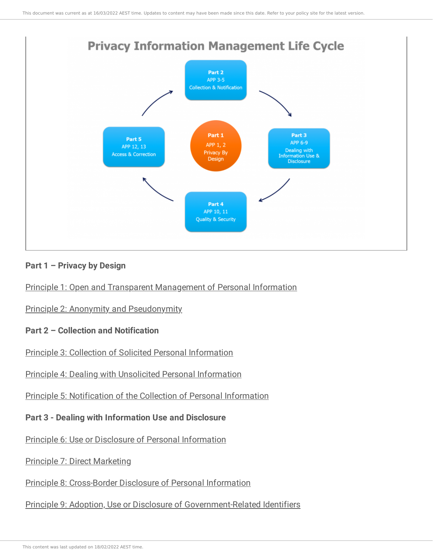

#### **Part 1 – Privacy by Design**

Principle 1: Open and Transparent [Management](https://ce-viewer.com/module/209/page/90246839-b11a-4c04-aaeb-486bf2e6641c.md) of Personal Information

Principle 2: Anonymity and [Pseudonymity](https://ce-viewer.com/module/209/page/bb865285-cb3a-4e03-b63c-d5850a38c947.md)

#### **Part 2 – Collection and Notification**

Principle 3: Collection of Solicited Personal [Information](https://ce-viewer.com/module/209/page/8edab15e-1fe3-4437-a60c-d0aa74284f92.md)

Principle 4: Dealing with Unsolicited Personal [Information](https://ce-viewer.com/module/209/page/7a8db1f4-df3e-438b-8480-d75c21262442.md)

Principle 5: [Notification](https://ce-viewer.com/module/209/page/4889a49b-19b2-4e3e-a6ca-0b4bb107f3c3.md) of the Collection of Personal Information

**Part 3 - Dealing with Information Use and Disclosure**

Principle 6: Use or Disclosure of Personal [Information](https://ce-viewer.com/module/209/page/51452d1a-defa-4270-bb68-13466f98d604.md)

Principle 7: Direct [Marketing](https://ce-viewer.com/module/209/page/7e5b7690-6a28-498d-ba95-db2155a2c3a4.md)

Principle 8: [Cross-Border](https://ce-viewer.com/module/209/page/e15211b4-9a1b-4eee-b898-543006a9796f.md) Disclosure of Personal Information

Principle 9: Adoption, Use or Disclosure of [Government-Related](https://ce-viewer.com/module/209/page/b4d937d0-7c8d-4ae2-ae47-b91b4c7b460c.md) Identifiers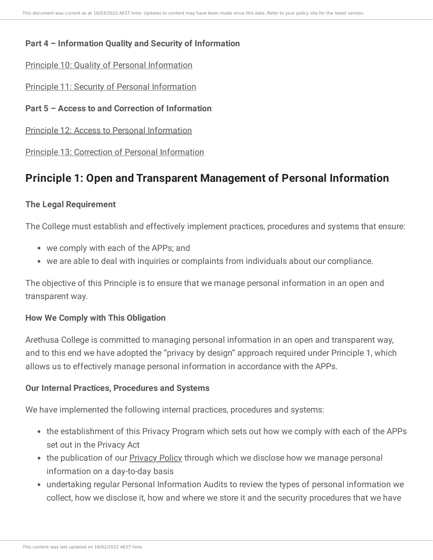## **Part 4 – Information Quality and Security of Information**

#### Principle 10: Quality of Personal [Information](https://ce-viewer.com/module/209/page/cae502c7-3e5f-48ce-9d4a-981ce891dde0.md)

Principle 11: Security of Personal [Information](https://ce-viewer.com/module/209/page/54fcffa6-c94b-4e57-87bf-849aa1b693c9.md)

**Part 5 – Access to and Correction of Information**

Principle 12: Access to Personal [Information](https://ce-viewer.com/module/209/page/8a75f267-a92d-4989-b83d-9a972214199a.md)

Principle 13: Correction of Personal [Information](https://ce-viewer.com/module/209/page/fa51dfe9-9c29-43a9-87f8-5ee9a929e7d7.md)

# **Principle 1: Open and Transparent Management of Personal Information**

## **The Legal Requirement**

The College must establish and effectively implement practices, procedures and systems that ensure:

- we comply with each of the APPs; and
- we are able to deal with inquiries or complaints from individuals about our compliance.

The objective of this Principle is to ensure that we manage personal information in an open and transparent way.

#### **How We Comply with This Obligation**

Arethusa College is committed to managing personal information in an open and transparent way, and to this end we have adopted the "privacy by design" approach required under Principle 1, which allows us to effectively manage personal information in accordance with the APPs.

## **Our Internal Practices, Procedures and Systems**

We have implemented the following internal practices, procedures and systems:

- the establishment of this Privacy Program which sets out how we comply with each of the APPs set out in the Privacy Act
- the publication of our **[Privacy](https://ce-viewer.com/module/209/page/d05f60a5-0e19-4485-96ff-d3a6890962ca.md) Policy** through which we disclose how we manage personal information on a day-to-day basis
- undertaking regular Personal Information Audits to review the types of personal information we collect, how we disclose it, how and where we store it and the security procedures that we have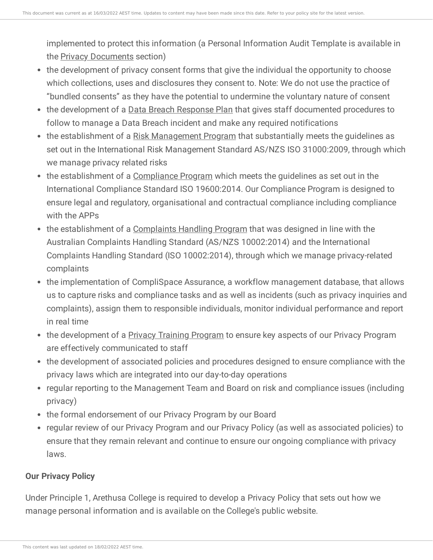implemented to protect this information (a Personal Information Audit Template is available in the Privacy [Documents](https://ce-viewer.com/module/209/page/2dec2af4-450c-4c57-a088-650eac923f5e.md) section)

- the development of privacy consent forms that give the individual the opportunity to choose which collections, uses and disclosures they consent to. Note: We do not use the practice of "bundled consents" as they have the potential to undermine the voluntary nature of consent
- the development of a Data Breach [Response](https://ce-viewer.com/module/209/page/9c2cfce4-c437-4ef6-8565-bbbc758e2edf.md) Plan that gives staff documented procedures to follow to manage a Data Breach incident and make any required notifications
- the establishment of a Risk [Management](https://ce-viewer.com/module/237/page/README.md) Program that substantially meets the guidelines as set out in the International Risk Management Standard AS/NZS ISO 31000:2009, through which we manage privacy related risks
- the establishment of a [Compliance](https://ce-viewer.com/module/210/page/README.md) Program which meets the guidelines as set out in the International Compliance Standard ISO 19600:2014. Our Compliance Program is designed to ensure legal and regulatory, organisational and contractual compliance including compliance with the APPs
- the establishment of a [Complaints](https://ce-viewer.com/module/221/page/README.md) Handling Program that was designed in line with the Australian Complaints Handling Standard (AS/NZS 10002:2014) and the International Complaints Handling Standard (ISO 10002:2014), through which we manage privacy-related complaints
- the implementation of CompliSpace Assurance, a workflow management database, that allows us to capture risks and compliance tasks and as well as incidents (such as privacy inquiries and complaints), assign them to responsible individuals, monitor individual performance and report in real time
- the development of a Privacy Training [Program](https://ce-viewer.com/module/209/page/819287e8-be00-480d-8b61-22389727f528.md) to ensure key aspects of our Privacy Program are effectively communicated to staff
- the development of associated policies and procedures designed to ensure compliance with the privacy laws which are integrated into our day-to-day operations
- regular reporting to the Management Team and Board on risk and compliance issues (including privacy)
- the formal endorsement of our Privacy Program by our Board
- regular review of our Privacy Program and our Privacy Policy (as well as associated policies) to ensure that they remain relevant and continue to ensure our ongoing compliance with privacy laws.

# **Our Privacy Policy**

Under Principle 1, Arethusa College is required to develop a Privacy Policy that sets out how we manage personal information and is available on the College's public website.

This content was last updated on 18/02/2022 AEST time.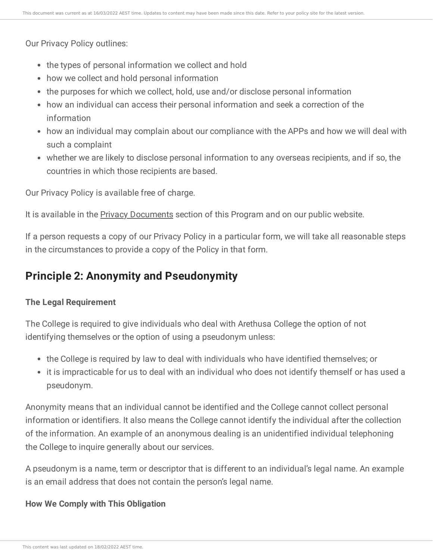Our Privacy Policy outlines:

- the types of personal information we collect and hold
- how we collect and hold personal information
- the purposes for which we collect, hold, use and/or disclose personal information
- how an individual can access their personal information and seek a correction of the information
- how an individual may complain about our compliance with the APPs and how we will deal with such a complaint
- whether we are likely to disclose personal information to any overseas recipients, and if so, the countries in which those recipients are based.

Our Privacy Policy is available free of charge.

It is available in the Privacy [Documents](https://ce-viewer.com/module/209/page/2dec2af4-450c-4c57-a088-650eac923f5e.md) section of this Program and on our public website.

If a person requests a copy of our Privacy Policy in a particular form, we will take all reasonable steps in the circumstances to provide a copy of the Policy in that form.

# **Principle 2: Anonymity and Pseudonymity**

## **The Legal Requirement**

The College is required to give individuals who deal with Arethusa College the option of not identifying themselves or the option of using a pseudonym unless:

- the College is required by law to deal with individuals who have identified themselves; or
- it is impracticable for us to deal with an individual who does not identify themself or has used a pseudonym.

Anonymity means that an individual cannot be identified and the College cannot collect personal information or identifiers. It also means the College cannot identify the individual after the collection of the information. An example of an anonymous dealing is an unidentified individual telephoning the College to inquire generally about our services.

A pseudonym is a name, term or descriptor that is different to an individual's legal name. An example is an email address that does not contain the person's legal name.

## **How We Comply with This Obligation**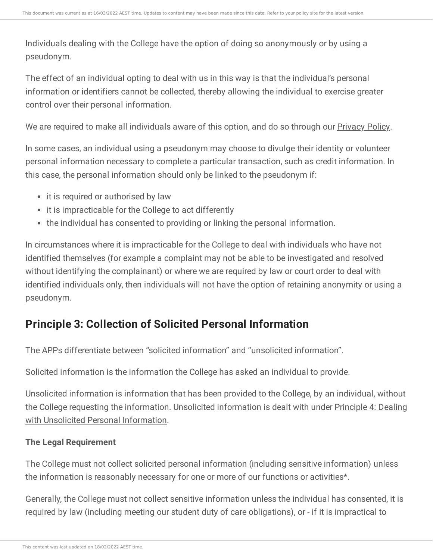Individuals dealing with the College have the option of doing so anonymously or by using a pseudonym.

The effect of an individual opting to deal with us in this way is that the individual's personal information or identifiers cannot be collected, thereby allowing the individual to exercise greater control over their personal information.

We are required to make all individuals aware of this option, and do so through our **[Privacy](https://ce-viewer.com/module/209/page/d05f60a5-0e19-4485-96ff-d3a6890962ca.md) Policy**.

In some cases, an individual using a pseudonym may choose to divulge their identity or volunteer personal information necessary to complete a particular transaction, such as credit information. In this case, the personal information should only be linked to the pseudonym if:

- it is required or authorised by law
- it is impracticable for the College to act differently
- the individual has consented to providing or linking the personal information.

In circumstances where it is impracticable for the College to deal with individuals who have not identified themselves (for example a complaint may not be able to be investigated and resolved without identifying the complainant) or where we are required by law or court order to deal with identified individuals only, then individuals will not have the option of retaining anonymity or using a pseudonym.

# **Principle 3: Collection of Solicited Personal Information**

The APPs differentiate between "solicited information" and "unsolicited information".

Solicited information is the information the College has asked an individual to provide.

Unsolicited information is information that has been provided to the College, by an individual, without the College requesting the [information.](https://ce-viewer.com/module/209/page/7a8db1f4-df3e-438b-8480-d75c21262442.md) Unsolicited information is dealt with under Principle 4: Dealing with Unsolicited Personal Information.

## **The Legal Requirement**

The College must not collect solicited personal information (including sensitive information) unless the information is reasonably necessary for one or more of our functions or activities\*.

Generally, the College must not collect sensitive information unless the individual has consented, it is required by law (including meeting our student duty of care obligations), or - if it is impractical to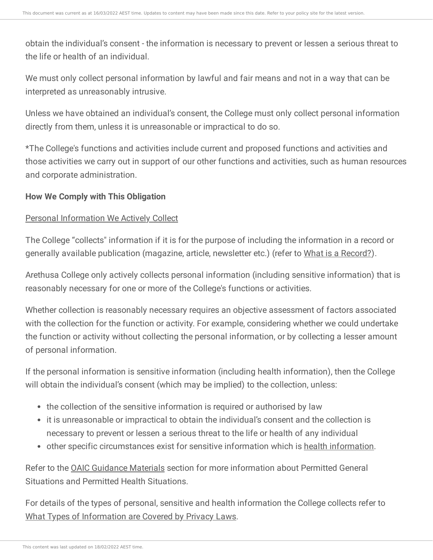obtain the individual's consent - the information is necessary to prevent or lessen a serious threat to the life or health of an individual.

We must only collect personal information by lawful and fair means and not in a way that can be interpreted as unreasonably intrusive.

Unless we have obtained an individual's consent, the College must only collect personal information directly from them, unless it is unreasonable or impractical to do so.

\*The College's functions and activities include current and proposed functions and activities and those activities we carry out in support of our other functions and activities, such as human resources and corporate administration.

#### **How We Comply with This Obligation**

#### Personal Information We Actively Collect

The College "collects" information if it is for the purpose of including the information in a record or generally available publication (magazine, article, newsletter etc.) (refer to What is a [Record?\)](https://ce-viewer.com/module/209/page/e2c95b15-9cea-46e9-a962-a84eedf529f3.md).

Arethusa College only actively collects personal information (including sensitive information) that is reasonably necessary for one or more of the College's functions or activities.

Whether collection is reasonably necessary requires an objective assessment of factors associated with the collection for the function or activity. For example, considering whether we could undertake the function or activity without collecting the personal information, or by collecting a lesser amount of personal information.

If the personal information is sensitive information (including health information), then the College will obtain the individual's consent (which may be implied) to the collection, unless:

- the collection of the sensitive information is required or authorised by law
- it is unreasonable or impractical to obtain the individual's consent and the collection is necessary to prevent or lessen a serious threat to the life or health of any individual
- other specific circumstances exist for sensitive information which is health [information.](https://ce-viewer.com/module/209/page/16b22b4d-9436-4ed8-b6a0-12c3cad50179.md)

Refer to the OAIC [Guidance](https://ce-viewer.com/module/209/page/a429c9a8-0529-44bb-9b2d-7edddba7f196.md) Materials section for more information about Permitted General Situations and Permitted Health Situations.

For details of the types of personal, sensitive and health information the College collects refer to What Types of [Information](https://ce-viewer.com/module/209/page/85f2c3e7-ecf9-4055-ae86-fe13ef7347aa.md) are Covered by Privacy Laws.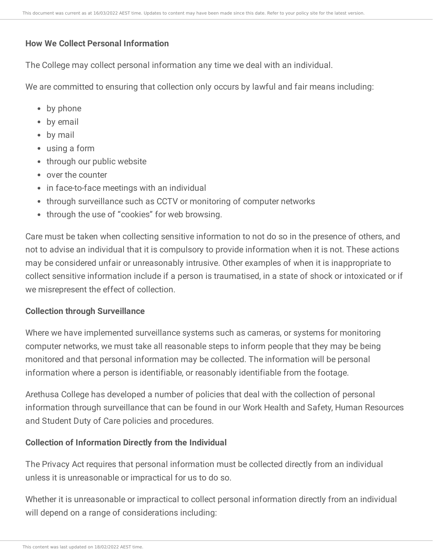#### **How We Collect Personal Information**

The College may collect personal information any time we deal with an individual.

We are committed to ensuring that collection only occurs by lawful and fair means including:

- by phone
- by email
- by mail
- using a form
- through our public website
- over the counter
- in face-to-face meetings with an individual
- through surveillance such as CCTV or monitoring of computer networks
- through the use of "cookies" for web browsing.

Care must be taken when collecting sensitive information to not do so in the presence of others, and not to advise an individual that it is compulsory to provide information when it is not. These actions may be considered unfair or unreasonably intrusive. Other examples of when it is inappropriate to collect sensitive information include if a person is traumatised, in a state of shock or intoxicated or if we misrepresent the effect of collection.

#### **Collection through Surveillance**

Where we have implemented surveillance systems such as cameras, or systems for monitoring computer networks, we must take all reasonable steps to inform people that they may be being monitored and that personal information may be collected. The information will be personal information where a person is identifiable, or reasonably identifiable from the footage.

Arethusa College has developed a number of policies that deal with the collection of personal information through surveillance that can be found in our Work Health and Safety, Human Resources and Student Duty of Care policies and procedures.

## **Collection of Information Directly from the Individual**

The Privacy Act requires that personal information must be collected directly from an individual unless it is unreasonable or impractical for us to do so.

Whether it is unreasonable or impractical to collect personal information directly from an individual will depend on a range of considerations including: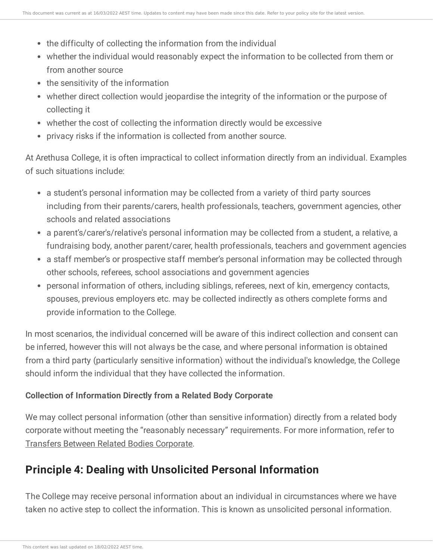- the difficulty of collecting the information from the individual
- whether the individual would reasonably expect the information to be collected from them or from another source
- the sensitivity of the information
- whether direct collection would jeopardise the integrity of the information or the purpose of collecting it
- whether the cost of collecting the information directly would be excessive
- privacy risks if the information is collected from another source.

At Arethusa College, it is often impractical to collect information directly from an individual. Examples of such situations include:

- a student's personal information may be collected from a variety of third party sources including from their parents/carers, health professionals, teachers, government agencies, other schools and related associations
- a parent's/carer's/relative's personal information may be collected from a student, a relative, a fundraising body, another parent/carer, health professionals, teachers and government agencies
- a staff member's or prospective staff member's personal information may be collected through other schools, referees, school associations and government agencies
- personal information of others, including siblings, referees, next of kin, emergency contacts, spouses, previous employers etc. may be collected indirectly as others complete forms and provide information to the College.

In most scenarios, the individual concerned will be aware of this indirect collection and consent can be inferred, however this will not always be the case, and where personal information is obtained from a third party (particularly sensitive information) without the individual's knowledge, the College should inform the individual that they have collected the information.

# **Collection of Information Directly from a Related Body Corporate**

We may collect personal information (other than sensitive information) directly from a related body corporate without meeting the "reasonably necessary" requirements. For more information, refer to Transfers Between Related Bodies [Corporate](https://ce-viewer.com/module/209/page/c7e69395-0c48-49f2-9089-5ed19ffdbb92.md).

# **Principle 4: Dealing with Unsolicited Personal Information**

The College may receive personal information about an individual in circumstances where we have taken no active step to collect the information. This is known as unsolicited personal information.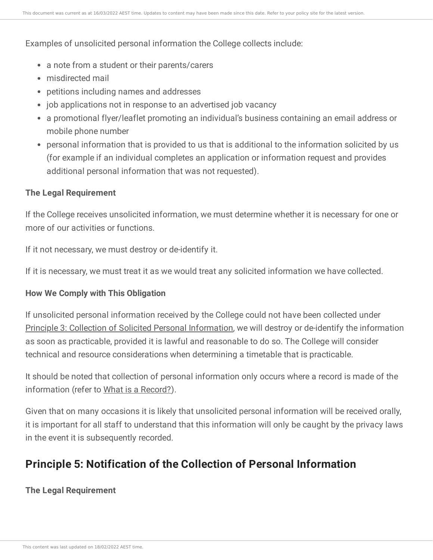#### Examples of unsolicited personal information the College collects include:

- a note from a student or their parents/carers
- misdirected mail
- petitions including names and addresses
- job applications not in response to an advertised job vacancy
- a promotional flyer/leaflet promoting an individual's business containing an email address or mobile phone number
- personal information that is provided to us that is additional to the information solicited by us (for example if an individual completes an application or information request and provides additional personal information that was not requested).

#### **The Legal Requirement**

If the College receives unsolicited information, we must determine whether it is necessary for one or more of our activities or functions.

If it not necessary, we must destroy or de-identify it.

If it is necessary, we must treat it as we would treat any solicited information we have collected.

## **How We Comply with This Obligation**

If unsolicited personal information received by the College could not have been collected under Principle 3: Collection of Solicited Personal [Information,](https://ce-viewer.com/module/209/page/8edab15e-1fe3-4437-a60c-d0aa74284f92.md) we will destroy or de-identify the information as soon as practicable, provided it is lawful and reasonable to do so. The College will consider technical and resource considerations when determining a timetable that is practicable.

It should be noted that collection of personal information only occurs where a record is made of the information (refer to What is a [Record?](https://ce-viewer.com/module/209/page/e2c95b15-9cea-46e9-a962-a84eedf529f3.md)).

Given that on many occasions it is likely that unsolicited personal information will be received orally, it is important for all staff to understand that this information will only be caught by the privacy laws in the event it is subsequently recorded.

# **Principle 5: Notification of the Collection of Personal Information**

## **The Legal Requirement**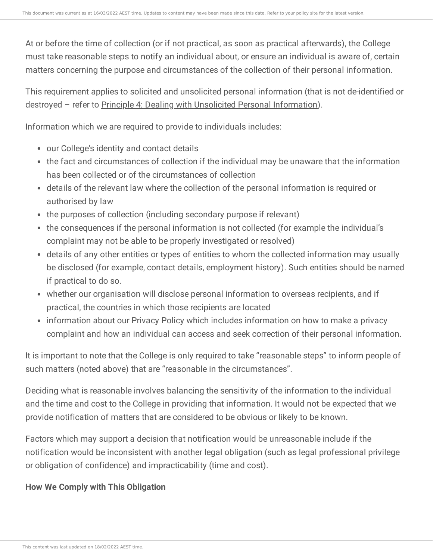At or before the time of collection (or if not practical, as soon as practical afterwards), the College must take reasonable steps to notify an individual about, or ensure an individual is aware of, certain matters concerning the purpose and circumstances of the collection of their personal information.

This requirement applies to solicited and unsolicited personal information (that is not de-identified or destroyed – refer to Principle 4: Dealing with Unsolicited Personal [Information](https://ce-viewer.com/module/209/page/7a8db1f4-df3e-438b-8480-d75c21262442.md)).

Information which we are required to provide to individuals includes:

- our College's identity and contact details
- the fact and circumstances of collection if the individual may be unaware that the information has been collected or of the circumstances of collection
- details of the relevant law where the collection of the personal information is required or authorised by law
- the purposes of collection (including secondary purpose if relevant)
- the consequences if the personal information is not collected (for example the individual's complaint may not be able to be properly investigated or resolved)
- details of any other entities or types of entities to whom the collected information may usually be disclosed (for example, contact details, employment history). Such entities should be named if practical to do so.
- whether our organisation will disclose personal information to overseas recipients, and if practical, the countries in which those recipients are located
- information about our Privacy Policy which includes information on how to make a privacy complaint and how an individual can access and seek correction of their personal information.

It is important to note that the College is only required to take "reasonable steps" to inform people of such matters (noted above) that are "reasonable in the circumstances".

Deciding what is reasonable involves balancing the sensitivity of the information to the individual and the time and cost to the College in providing that information. It would not be expected that we provide notification of matters that are considered to be obvious or likely to be known.

Factors which may support a decision that notification would be unreasonable include if the notification would be inconsistent with another legal obligation (such as legal professional privilege or obligation of confidence) and impracticability (time and cost).

# **How We Comply with This Obligation**

This content was last updated on 18/02/2022 AEST time.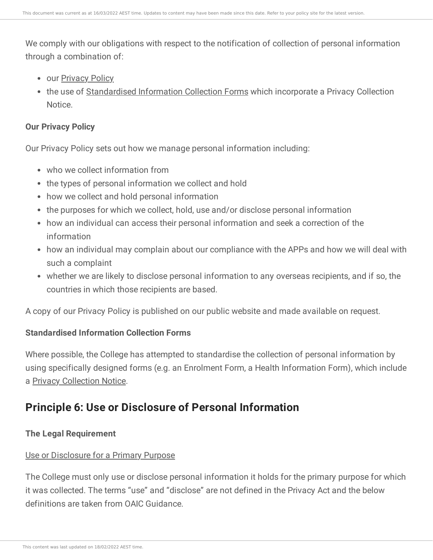We comply with our obligations with respect to the notification of collection of personal information through a combination of:

- our [Privacy](https://ce-viewer.com/module/209/page/d05f60a5-0e19-4485-96ff-d3a6890962ca.md) Policy
- the use of [Standardised](https://ce-viewer.com/module/209/page/2dec2af4-450c-4c57-a088-650eac923f5e.md) Information Collection Forms which incorporate a Privacy Collection Notice.

#### **Our Privacy Policy**

Our Privacy Policy sets out how we manage personal information including:

- who we collect information from
- the types of personal information we collect and hold
- how we collect and hold personal information
- the purposes for which we collect, hold, use and/or disclose personal information
- how an individual can access their personal information and seek a correction of the information
- how an individual may complain about our compliance with the APPs and how we will deal with such a complaint
- whether we are likely to disclose personal information to any overseas recipients, and if so, the countries in which those recipients are based.

A copy of our Privacy Policy is published on our public website and made available on request.

## **Standardised Information Collection Forms**

Where possible, the College has attempted to standardise the collection of personal information by using specifically designed forms (e.g. an Enrolment Form, a Health Information Form), which include a Privacy [Collection](https://ce-viewer.com/module/209/page/2dec2af4-450c-4c57-a088-650eac923f5e.md) Notice.

# **Principle 6: Use or Disclosure of Personal Information**

## **The Legal Requirement**

## Use or Disclosure for a Primary Purpose

The College must only use or disclose personal information it holds for the primary purpose for which it was collected. The terms "use" and "disclose" are not defined in the Privacy Act and the below definitions are taken from OAIC Guidance.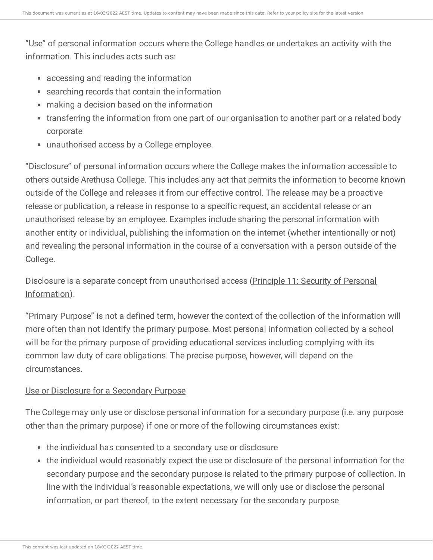"Use" of personal information occurs where the College handles or undertakes an activity with the information. This includes acts such as:

- accessing and reading the information
- searching records that contain the information
- making a decision based on the information
- transferring the information from one part of our organisation to another part or a related body corporate
- unauthorised access by a College employee.

"Disclosure" of personal information occurs where the College makes the information accessible to others outside Arethusa College. This includes any act that permits the information to become known outside of the College and releases it from our effective control. The release may be a proactive release or publication, a release in response to a specific request, an accidental release or an unauthorised release by an employee. Examples include sharing the personal information with another entity or individual, publishing the information on the internet (whether intentionally or not) and revealing the personal information in the course of a conversation with a person outside of the College.

Disclosure is a separate concept from unauthorised access (Principle 11: Security of Personal [Information\).](https://ce-viewer.com/module/209/page/54fcffa6-c94b-4e57-87bf-849aa1b693c9.md)

"Primary Purpose" is not a defined term, however the context of the collection of the information will more often than not identify the primary purpose. Most personal information collected by a school will be for the primary purpose of providing educational services including complying with its common law duty of care obligations. The precise purpose, however, will depend on the circumstances.

#### Use or Disclosure for a Secondary Purpose

The College may only use or disclose personal information for a secondary purpose (i.e. any purpose other than the primary purpose) if one or more of the following circumstances exist:

- the individual has consented to a secondary use or disclosure
- the individual would reasonably expect the use or disclosure of the personal information for the secondary purpose and the secondary purpose is related to the primary purpose of collection. In line with the individual's reasonable expectations, we will only use or disclose the personal information, or part thereof, to the extent necessary for the secondary purpose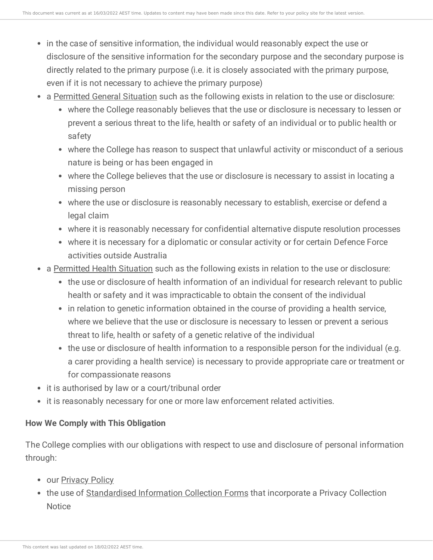- in the case of sensitive information, the individual would reasonably expect the use or disclosure of the sensitive information for the secondary purpose and the secondary purpose is directly related to the primary purpose (i.e. it is closely associated with the primary purpose, even if it is not necessary to achieve the primary purpose)
- a [Permitted](https://ce-viewer.com/module/209/page/a429c9a8-0529-44bb-9b2d-7edddba7f196.md) General Situation such as the following exists in relation to the use or disclosure:
	- where the College reasonably believes that the use or disclosure is necessary to lessen or prevent a serious threat to the life, health or safety of an individual or to public health or safety
	- where the College has reason to suspect that unlawful activity or misconduct of a serious nature is being or has been engaged in
	- where the College believes that the use or disclosure is necessary to assist in locating a missing person
	- where the use or disclosure is reasonably necessary to establish, exercise or defend a legal claim
	- where it is reasonably necessary for confidential alternative dispute resolution processes
	- where it is necessary for a diplomatic or consular activity or for certain Defence Force activities outside Australia
- a [Permitted](https://ce-viewer.com/module/209/page/a429c9a8-0529-44bb-9b2d-7edddba7f196.md) Health Situation such as the following exists in relation to the use or disclosure:
	- the use or disclosure of health information of an individual for research relevant to public health or safety and it was impracticable to obtain the consent of the individual
	- in relation to genetic information obtained in the course of providing a health service, where we believe that the use or disclosure is necessary to lessen or prevent a serious threat to life, health or safety of a genetic relative of the individual
	- the use or disclosure of health information to a responsible person for the individual (e.g. a carer providing a health service) is necessary to provide appropriate care or treatment or for compassionate reasons
- it is authorised by law or a court/tribunal order
- it is reasonably necessary for one or more law enforcement related activities.

## **How We Comply with This Obligation**

The College complies with our obligations with respect to use and disclosure of personal information through:

- our **[Privacy](https://ce-viewer.com/module/209/page/d05f60a5-0e19-4485-96ff-d3a6890962ca.md) Policy**
- the use of [Standardised](https://ce-viewer.com/module/209/page/2dec2af4-450c-4c57-a088-650eac923f5e.md) Information Collection Forms that incorporate a Privacy Collection **Notice**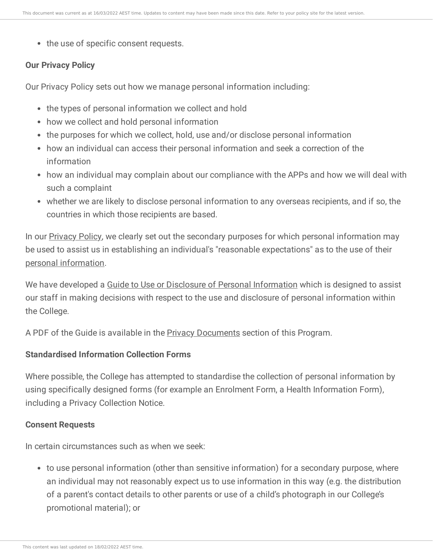• the use of specific consent requests.

#### **Our Privacy Policy**

Our Privacy Policy sets out how we manage personal information including:

- the types of personal information we collect and hold
- how we collect and hold personal information
- the purposes for which we collect, hold, use and/or disclose personal information
- how an individual can access their personal information and seek a correction of the information
- how an individual may complain about our compliance with the APPs and how we will deal with such a complaint
- whether we are likely to disclose personal information to any overseas recipients, and if so, the countries in which those recipients are based.

In our **[Privacy](https://ce-viewer.com/module/209/page/d05f60a5-0e19-4485-96ff-d3a6890962ca.md) Policy**, we clearly set out the secondary purposes for which personal information may be used to assist us in establishing an individual's "reasonable expectations" as to the use of their personal [information.](https://ce-viewer.com/module/209/page/ff1017fc-5628-462c-8737-b0882b3fa402.md)

We have developed a Guide to Use or Disclosure of Personal [Information](https://ce-viewer.com/module/209/page/144e1980-53a6-4ed7-8c3e-9aa73960c566.md) which is designed to assist our staff in making decisions with respect to the use and disclosure of personal information within the College.

A PDF of the Guide is available in the **Privacy [Documents](https://ce-viewer.com/module/209/page/2dec2af4-450c-4c57-a088-650eac923f5e.md)** section of this Program.

#### **Standardised Information Collection Forms**

Where possible, the College has attempted to standardise the collection of personal information by using specifically designed forms (for example an Enrolment Form, a Health Information Form), including a Privacy Collection Notice.

#### **Consent Requests**

In certain circumstances such as when we seek:

to use personal information (other than sensitive information) for a secondary purpose, where an individual may not reasonably expect us to use information in this way (e.g. the distribution of a parent's contact details to other parents or use of a child's photograph in our College's promotional material); or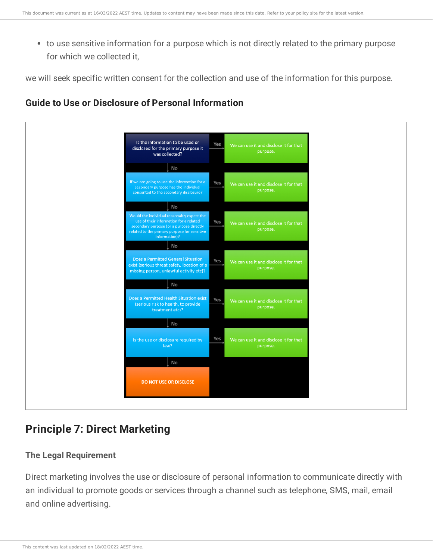to use sensitive information for a purpose which is not directly related to the primary purpose for which we collected it,

we will seek specific written consent for the collection and use of the information for this purpose.

# **Guide to Use or Disclosure of Personal Information**



# **Principle 7: Direct Marketing**

## **The Legal Requirement**

Direct marketing involves the use or disclosure of personal information to communicate directly with an individual to promote goods or services through a channel such as telephone, SMS, mail, email and online advertising.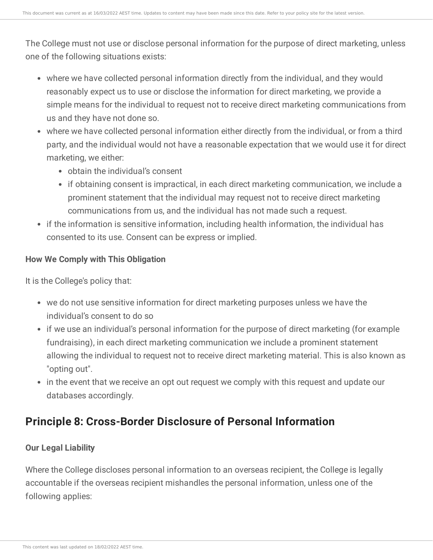The College must not use or disclose personal information for the purpose of direct marketing, unless one of the following situations exists:

- where we have collected personal information directly from the individual, and they would reasonably expect us to use or disclose the information for direct marketing, we provide a simple means for the individual to request not to receive direct marketing communications from us and they have not done so.
- where we have collected personal information either directly from the individual, or from a third party, and the individual would not have a reasonable expectation that we would use it for direct marketing, we either:
	- obtain the individual's consent
	- if obtaining consent is impractical, in each direct marketing communication, we include a prominent statement that the individual may request not to receive direct marketing communications from us, and the individual has not made such a request.
- if the information is sensitive information, including health information, the individual has consented to its use. Consent can be express or implied.

#### **How We Comply with This Obligation**

It is the College's policy that:

- we do not use sensitive information for direct marketing purposes unless we have the individual's consent to do so
- if we use an individual's personal information for the purpose of direct marketing (for example fundraising), in each direct marketing communication we include a prominent statement allowing the individual to request not to receive direct marketing material. This is also known as "opting out".
- in the event that we receive an opt out request we comply with this request and update our databases accordingly.

# **Principle 8: Cross-Border Disclosure of Personal Information**

## **Our Legal Liability**

Where the College discloses personal information to an overseas recipient, the College is legally accountable if the overseas recipient mishandles the personal information, unless one of the following applies: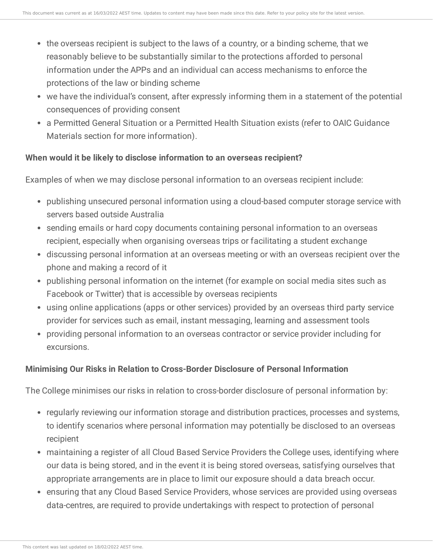- the overseas recipient is subject to the laws of a country, or a binding scheme, that we reasonably believe to be substantially similar to the protections afforded to personal information under the APPs and an individual can access mechanisms to enforce the protections of the law or binding scheme
- we have the individual's consent, after expressly informing them in a statement of the potential consequences of providing consent
- a Permitted General Situation or a Permitted Health Situation exists (refer to OAIC Guidance Materials section for more information).

#### **When would it be likely to disclose information to an overseas recipient?**

Examples of when we may disclose personal information to an overseas recipient include:

- publishing unsecured personal information using a cloud-based computer storage service with servers based outside Australia
- sending emails or hard copy documents containing personal information to an overseas recipient, especially when organising overseas trips or facilitating a student exchange
- discussing personal information at an overseas meeting or with an overseas recipient over the phone and making a record of it
- publishing personal information on the internet (for example on social media sites such as Facebook or Twitter) that is accessible by overseas recipients
- using online applications (apps or other services) provided by an overseas third party service provider for services such as email, instant messaging, learning and assessment tools
- providing personal information to an overseas contractor or service provider including for excursions.

## **Minimising Our Risks in Relation to Cross-Border Disclosure of Personal Information**

The College minimises our risks in relation to cross-border disclosure of personal information by:

- regularly reviewing our information storage and distribution practices, processes and systems, to identify scenarios where personal information may potentially be disclosed to an overseas recipient
- maintaining a register of all Cloud Based Service Providers the College uses, identifying where our data is being stored, and in the event it is being stored overseas, satisfying ourselves that appropriate arrangements are in place to limit our exposure should a data breach occur.
- ensuring that any Cloud Based Service Providers, whose services are provided using overseas data-centres, are required to provide undertakings with respect to protection of personal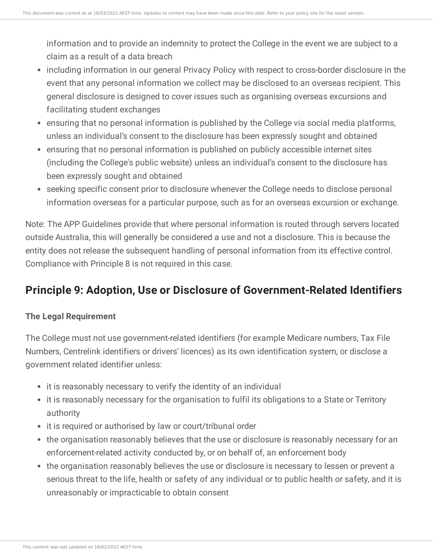information and to provide an indemnity to protect the College in the event we are subject to a claim as a result of a data breach

- including information in our general Privacy Policy with respect to cross-border disclosure in the event that any personal information we collect may be disclosed to an overseas recipient. This general disclosure is designed to cover issues such as organising overseas excursions and facilitating student exchanges
- ensuring that no personal information is published by the College via social media platforms, unless an individual's consent to the disclosure has been expressly sought and obtained
- ensuring that no personal information is published on publicly accessible internet sites (including the College's public website) unless an individual's consent to the disclosure has been expressly sought and obtained
- seeking specific consent prior to disclosure whenever the College needs to disclose personal information overseas for a particular purpose, such as for an overseas excursion or exchange.

Note: The APP Guidelines provide that where personal information is routed through servers located outside Australia, this will generally be considered a use and not a disclosure. This is because the entity does not release the subsequent handling of personal information from its effective control. Compliance with Principle 8 is not required in this case.

# **Principle 9: Adoption, Use or Disclosure of Government-Related Identifiers**

# **The Legal Requirement**

The College must not use government-related identifiers (for example Medicare numbers, Tax File Numbers, Centrelink identifiers or drivers' licences) as its own identification system, or disclose a government related identifier unless:

- it is reasonably necessary to verify the identity of an individual
- it is reasonably necessary for the organisation to fulfil its obligations to a State or Territory authority
- it is required or authorised by law or court/tribunal order
- the organisation reasonably believes that the use or disclosure is reasonably necessary for an enforcement-related activity conducted by, or on behalf of, an enforcement body
- the organisation reasonably believes the use or disclosure is necessary to lessen or prevent a serious threat to the life, health or safety of any individual or to public health or safety, and it is unreasonably or impracticable to obtain consent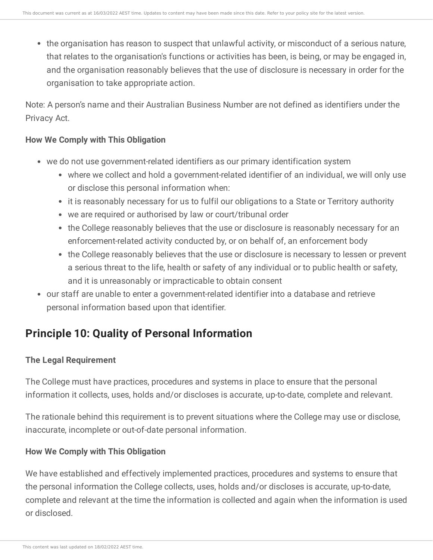the organisation has reason to suspect that unlawful activity, or misconduct of a serious nature, that relates to the organisation's functions or activities has been, is being, or may be engaged in, and the organisation reasonably believes that the use of disclosure is necessary in order for the organisation to take appropriate action.

Note: A person's name and their Australian Business Number are not defined as identifiers under the Privacy Act.

### **How We Comply with This Obligation**

- we do not use government-related identifiers as our primary identification system
	- where we collect and hold a government-related identifier of an individual, we will only use or disclose this personal information when:
	- it is reasonably necessary for us to fulfil our obligations to a State or Territory authority
	- we are required or authorised by law or court/tribunal order
	- the College reasonably believes that the use or disclosure is reasonably necessary for an enforcement-related activity conducted by, or on behalf of, an enforcement body
	- the College reasonably believes that the use or disclosure is necessary to lessen or prevent a serious threat to the life, health or safety of any individual or to public health or safety, and it is unreasonably or impracticable to obtain consent
- our staff are unable to enter a government-related identifier into a database and retrieve personal information based upon that identifier.

# **Principle 10: Quality of Personal Information**

# **The Legal Requirement**

The College must have practices, procedures and systems in place to ensure that the personal information it collects, uses, holds and/or discloses is accurate, up-to-date, complete and relevant.

The rationale behind this requirement is to prevent situations where the College may use or disclose, inaccurate, incomplete or out-of-date personal information.

## **How We Comply with This Obligation**

We have established and effectively implemented practices, procedures and systems to ensure that the personal information the College collects, uses, holds and/or discloses is accurate, up-to-date, complete and relevant at the time the information is collected and again when the information is used or disclosed.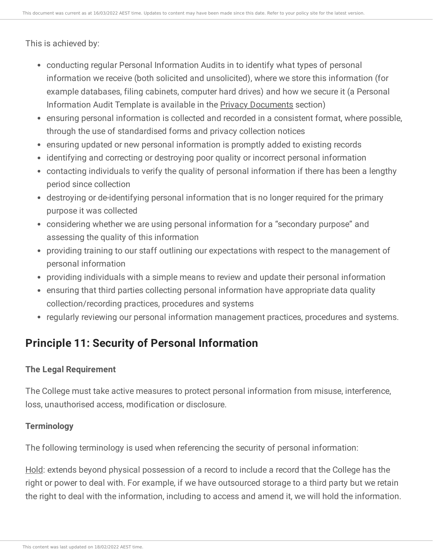This is achieved by:

- conducting regular Personal Information Audits in to identify what types of personal information we receive (both solicited and unsolicited), where we store this information (for example databases, filing cabinets, computer hard drives) and how we secure it (a Personal Information Audit Template is available in the Privacy [Documents](https://ce-viewer.com/module/209/page/2dec2af4-450c-4c57-a088-650eac923f5e.md) section)
- ensuring personal information is collected and recorded in a consistent format, where possible, through the use of standardised forms and privacy collection notices
- ensuring updated or new personal information is promptly added to existing records
- identifying and correcting or destroying poor quality or incorrect personal information
- contacting individuals to verify the quality of personal information if there has been a lengthy period since collection
- destroying or de-identifying personal information that is no longer required for the primary purpose it was collected
- considering whether we are using personal information for a "secondary purpose" and assessing the quality of this information
- providing training to our staff outlining our expectations with respect to the management of personal information
- providing individuals with a simple means to review and update their personal information
- ensuring that third parties collecting personal information have appropriate data quality collection/recording practices, procedures and systems
- regularly reviewing our personal information management practices, procedures and systems.

# **Principle 11: Security of Personal Information**

## **The Legal Requirement**

The College must take active measures to protect personal information from misuse, interference, loss, unauthorised access, modification or disclosure.

#### **Terminology**

The following terminology is used when referencing the security of personal information:

Hold: extends beyond physical possession of a record to include a record that the College has the right or power to deal with. For example, if we have outsourced storage to a third party but we retain the right to deal with the information, including to access and amend it, we will hold the information.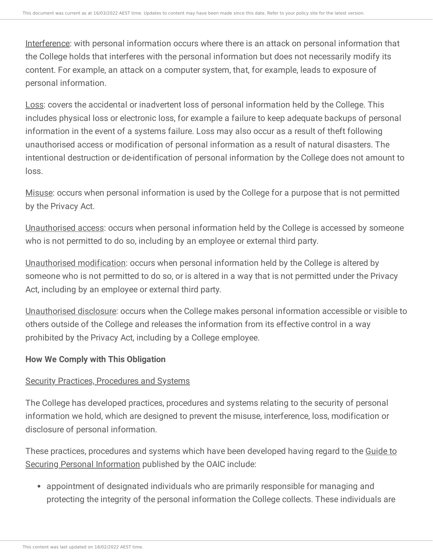Interference: with personal information occurs where there is an attack on personal information that the College holds that interferes with the personal information but does not necessarily modify its content. For example, an attack on a computer system, that, for example, leads to exposure of personal information.

Loss: covers the accidental or inadvertent loss of personal information held by the College. This includes physical loss or electronic loss, for example a failure to keep adequate backups of personal information in the event of a systems failure. Loss may also occur as a result of theft following unauthorised access or modification of personal information as a result of natural disasters. The intentional destruction or de-identification of personal information by the College does not amount to loss.

Misuse: occurs when personal information is used by the College for a purpose that is not permitted by the Privacy Act.

Unauthorised access: occurs when personal information held by the College is accessed by someone who is not permitted to do so, including by an employee or external third party.

Unauthorised modification: occurs when personal information held by the College is altered by someone who is not permitted to do so, or is altered in a way that is not permitted under the Privacy Act, including by an employee or external third party.

Unauthorised disclosure: occurs when the College makes personal information accessible or visible to others outside of the College and releases the information from its effective control in a way prohibited by the Privacy Act, including by a College employee.

## **How We Comply with This Obligation**

## Security Practices, Procedures and Systems

The College has developed practices, procedures and systems relating to the security of personal information we hold, which are designed to prevent the misuse, interference, loss, modification or disclosure of personal information.

These practices, procedures and systems which have been developed having regard to the Guide to Securing Personal [Information](https://ce-viewer.com/https:/salcqld.policyconnect.com.au/module/209/page/a429c9a8-0529-44bb-9b2d-7edddba7f196.md) published by the OAIC include:

appointment of designated individuals who are primarily responsible for managing and protecting the integrity of the personal information the College collects. These individuals are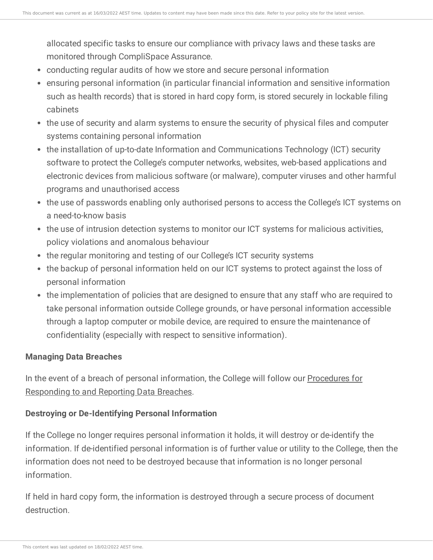allocated specific tasks to ensure our compliance with privacy laws and these tasks are monitored through CompliSpace Assurance.

- conducting regular audits of how we store and secure personal information
- ensuring personal information (in particular financial information and sensitive information such as health records) that is stored in hard copy form, is stored securely in lockable filing cabinets
- the use of security and alarm systems to ensure the security of physical files and computer systems containing personal information
- the installation of up-to-date Information and Communications Technology (ICT) security software to protect the College's computer networks, websites, web-based applications and electronic devices from malicious software (or malware), computer viruses and other harmful programs and unauthorised access
- the use of passwords enabling only authorised persons to access the College's ICT systems on a need-to-know basis
- the use of intrusion detection systems to monitor our ICT systems for malicious activities, policy violations and anomalous behaviour
- the regular monitoring and testing of our College's ICT security systems
- the backup of personal information held on our ICT systems to protect against the loss of personal information
- the implementation of policies that are designed to ensure that any staff who are required to take personal information outside College grounds, or have personal information accessible through a laptop computer or mobile device, are required to ensure the maintenance of confidentiality (especially with respect to sensitive information).

## **Managing Data Breaches**

In the event of a breach of personal [information,](https://ce-viewer.com/module/209/page/b7d4f254-31e7-4492-9ab2-c5ce684edc55.md) the College will follow our Procedures for Responding to and Reporting Data Breaches.

# **Destroying or De-Identifying Personal Information**

If the College no longer requires personal information it holds, it will destroy or de-identify the information. If de-identified personal information is of further value or utility to the College, then the information does not need to be destroyed because that information is no longer personal information.

If held in hard copy form, the information is destroyed through a secure process of document destruction.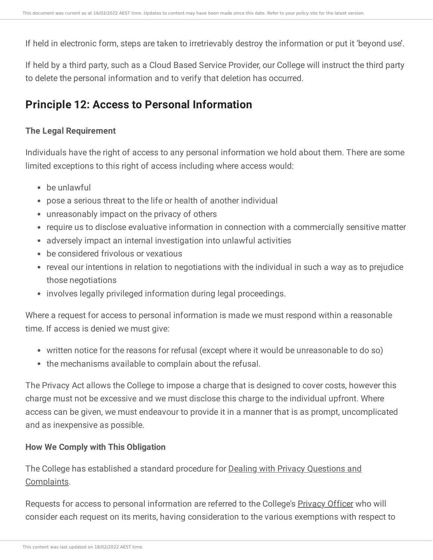If held in electronic form, steps are taken to irretrievably destroy the information or put it 'beyond use'.

If held by a third party, such as a Cloud Based Service Provider, our College will instruct the third party to delete the personal information and to verify that deletion has occurred.

# **Principle 12: Access to Personal Information**

#### **The Legal Requirement**

Individuals have the right of access to any personal information we hold about them. There are some limited exceptions to this right of access including where access would:

- be unlawful
- pose a serious threat to the life or health of another individual
- unreasonably impact on the privacy of others
- require us to disclose evaluative information in connection with a commercially sensitive matter
- adversely impact an internal investigation into unlawful activities
- be considered frivolous or vexatious
- reveal our intentions in relation to negotiations with the individual in such a way as to prejudice those negotiations
- involves legally privileged information during legal proceedings.

Where a request for access to personal information is made we must respond within a reasonable time. If access is denied we must give:

- written notice for the reasons for refusal (except where it would be unreasonable to do so)
- the mechanisms available to complain about the refusal.

The Privacy Act allows the College to impose a charge that is designed to cover costs, however this charge must not be excessive and we must disclose this charge to the individual upfront. Where access can be given, we must endeavour to provide it in a manner that is as prompt, uncomplicated and as inexpensive as possible.

#### **How We Comply with This Obligation**

The College has established a standard procedure for Dealing with Privacy Questions and [Complaints.](https://ce-viewer.com/module/209/page/f9de702f-df84-4218-a751-60b606e12123.md)

Requests for access to personal information are referred to the College's [Privacy](https://ce-viewer.com/module/209/page/a3a54663-c4af-4214-9ec2-206605aff844.md) Officer who will consider each request on its merits, having consideration to the various exemptions with respect to

This content was last updated on 18/02/2022 AEST time.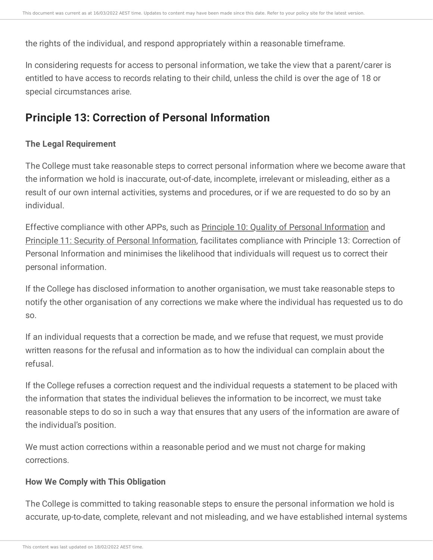the rights of the individual, and respond appropriately within a reasonable timeframe.

In considering requests for access to personal information, we take the view that a parent/carer is entitled to have access to records relating to their child, unless the child is over the age of 18 or special circumstances arise.

# **Principle 13: Correction of Personal Information**

## **The Legal Requirement**

The College must take reasonable steps to correct personal information where we become aware that the information we hold is inaccurate, out-of-date, incomplete, irrelevant or misleading, either as a result of our own internal activities, systems and procedures, or if we are requested to do so by an individual.

Effective compliance with other APPs, such as Principle 10: Quality of Personal [Information](https://ce-viewer.com/module/209/page/cae502c7-3e5f-48ce-9d4a-981ce891dde0.md) and Principle 11: Security of Personal [Information,](https://ce-viewer.com/module/209/page/54fcffa6-c94b-4e57-87bf-849aa1b693c9.md) facilitates compliance with Principle 13: Correction of Personal Information and minimises the likelihood that individuals will request us to correct their personal information.

If the College has disclosed information to another organisation, we must take reasonable steps to notify the other organisation of any corrections we make where the individual has requested us to do so.

If an individual requests that a correction be made, and we refuse that request, we must provide written reasons for the refusal and information as to how the individual can complain about the refusal.

If the College refuses a correction request and the individual requests a statement to be placed with the information that states the individual believes the information to be incorrect, we must take reasonable steps to do so in such a way that ensures that any users of the information are aware of the individual's position.

We must action corrections within a reasonable period and we must not charge for making corrections.

## **How We Comply with This Obligation**

The College is committed to taking reasonable steps to ensure the personal information we hold is accurate, up-to-date, complete, relevant and not misleading, and we have established internal systems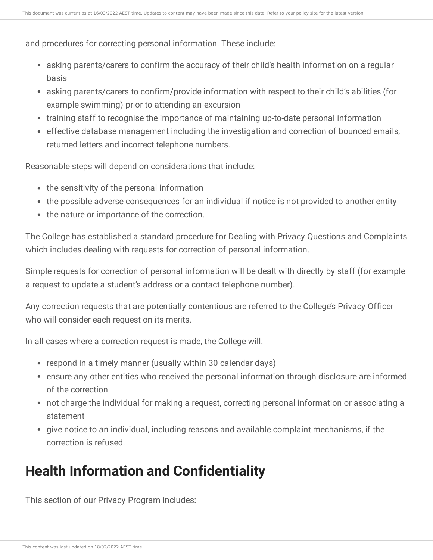and procedures for correcting personal information. These include:

- asking parents/carers to confirm the accuracy of their child's health information on a regular basis
- asking parents/carers to confirm/provide information with respect to their child's abilities (for example swimming) prior to attending an excursion
- training staff to recognise the importance of maintaining up-to-date personal information
- effective database management including the investigation and correction of bounced emails, returned letters and incorrect telephone numbers.

Reasonable steps will depend on considerations that include:

- the sensitivity of the personal information
- the possible adverse consequences for an individual if notice is not provided to another entity
- the nature or importance of the correction.

The College has established a standard procedure for Dealing with Privacy Questions and [Complaints](https://ce-viewer.com/module/209/page/f9de702f-df84-4218-a751-60b606e12123.md) which includes dealing with requests for correction of personal information.

Simple requests for correction of personal information will be dealt with directly by staff (for example a request to update a student's address or a contact telephone number).

Any correction requests that are potentially contentious are referred to the College's [Privacy](https://ce-viewer.com/module/209/page/a3a54663-c4af-4214-9ec2-206605aff844.md) Officer who will consider each request on its merits.

In all cases where a correction request is made, the College will:

- respond in a timely manner (usually within 30 calendar days)
- ensure any other entities who received the personal information through disclosure are informed of the correction
- not charge the individual for making a request, correcting personal information or associating a statement
- give notice to an individual, including reasons and available complaint mechanisms, if the correction is refused.

# **Health Information and Confidentiality**

This section of our Privacy Program includes: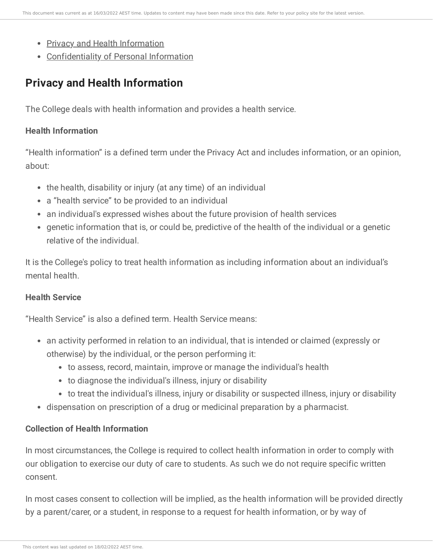- Privacy and Health [Information](https://ce-viewer.com/module/209/page/c8fc79dd-ab2a-47e2-8450-59b339c9c2f0.md)
- [Confidentiality](https://ce-viewer.com/module/209/page/b9d78792-8025-4a88-810f-06a706149852.md) of Personal Information

# **Privacy and Health Information**

The College deals with health information and provides a health service.

#### **Health Information**

"Health information" is a defined term under the Privacy Act and includes information, or an opinion, about:

- the health, disability or injury (at any time) of an individual
- a "health service" to be provided to an individual
- an individual's expressed wishes about the future provision of health services
- genetic information that is, or could be, predictive of the health of the individual or a genetic relative of the individual.

It is the College's policy to treat health information as including information about an individual's mental health.

## **Health Service**

"Health Service" is also a defined term. Health Service means:

- an activity performed in relation to an individual, that is intended or claimed (expressly or otherwise) by the individual, or the person performing it:
	- to assess, record, maintain, improve or manage the individual's health
	- to diagnose the individual's illness, injury or disability
	- to treat the individual's illness, injury or disability or suspected illness, injury or disability
- dispensation on prescription of a drug or medicinal preparation by a pharmacist.

## **Collection of Health Information**

In most circumstances, the College is required to collect health information in order to comply with our obligation to exercise our duty of care to students. As such we do not require specific written consent.

In most cases consent to collection will be implied, as the health information will be provided directly by a parent/carer, or a student, in response to a request for health information, or by way of

This content was last updated on 18/02/2022 AEST time.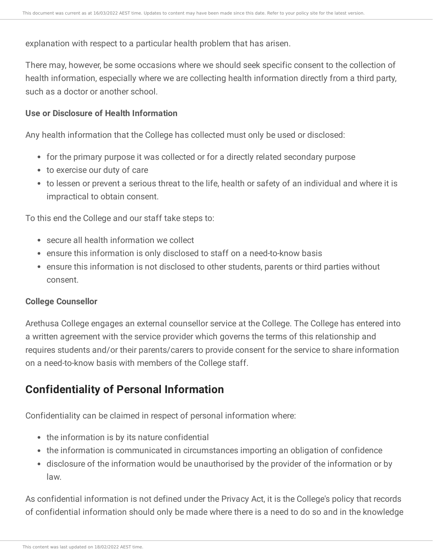explanation with respect to a particular health problem that has arisen.

There may, however, be some occasions where we should seek specific consent to the collection of health information, especially where we are collecting health information directly from a third party, such as a doctor or another school.

#### **Use or Disclosure of Health Information**

Any health information that the College has collected must only be used or disclosed:

- for the primary purpose it was collected or for a directly related secondary purpose
- to exercise our duty of care
- to lessen or prevent a serious threat to the life, health or safety of an individual and where it is impractical to obtain consent.

To this end the College and our staff take steps to:

- secure all health information we collect
- ensure this information is only disclosed to staff on a need-to-know basis
- ensure this information is not disclosed to other students, parents or third parties without consent.

#### **College Counsellor**

Arethusa College engages an external counsellor service at the College. The College has entered into a written agreement with the service provider which governs the terms of this relationship and requires students and/or their parents/carers to provide consent for the service to share information on a need-to-know basis with members of the College staff.

# **Confidentiality of Personal Information**

Confidentiality can be claimed in respect of personal information where:

- the information is by its nature confidential
- the information is communicated in circumstances importing an obligation of confidence
- disclosure of the information would be unauthorised by the provider of the information or by law.

As confidential information is not defined under the Privacy Act, it is the College's policy that records of confidential information should only be made where there is a need to do so and in the knowledge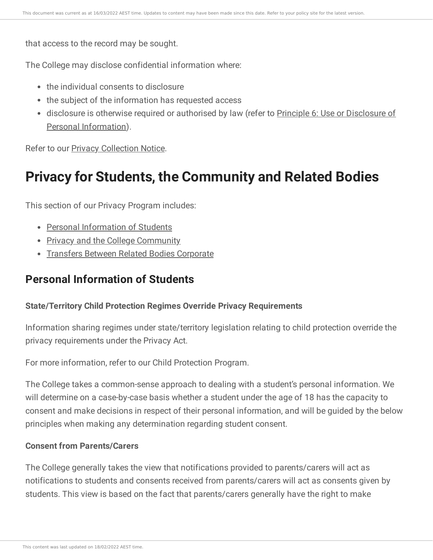that access to the record may be sought.

The College may disclose confidential information where:

- the individual consents to disclosure
- the subject of the information has requested access
- disclosure is otherwise required or authorised by law (refer to Principle 6: Use or Disclosure of Personal [Information\).](https://ce-viewer.com/module/209/page/51452d1a-defa-4270-bb68-13466f98d604.md)

Refer to our Privacy [Collection](https://ce-viewer.com/module/209/page/2dec2af4-450c-4c57-a088-650eac923f5e.md) Notice.

# **Privacy for Students, the Community and Related Bodies**

This section of our Privacy Program includes:

- Personal [Information](https://ce-viewer.com/module/209/page/33002140-2db7-4ed6-820a-f7119d2f546a.md) of Students
- Privacy and the College [Community](https://ce-viewer.com/module/209/page/c6e7b44a-8aa1-48a3-aa0e-982f1c888b8a.md)
- **Transfers Between Related Bodies [Corporate](https://ce-viewer.com/module/209/page/c7e69395-0c48-49f2-9089-5ed19ffdbb92.md)**

# **Personal Information of Students**

#### **State/Territory Child Protection Regimes Override Privacy Requirements**

Information sharing regimes under state/territory legislation relating to child protection override the privacy requirements under the Privacy Act.

For more information, refer to our Child Protection Program.

The College takes a common-sense approach to dealing with a student's personal information. We will determine on a case-by-case basis whether a student under the age of 18 has the capacity to consent and make decisions in respect of their personal information, and will be guided by the below principles when making any determination regarding student consent.

#### **Consent from Parents/Carers**

The College generally takes the view that notifications provided to parents/carers will act as notifications to students and consents received from parents/carers will act as consents given by students. This view is based on the fact that parents/carers generally have the right to make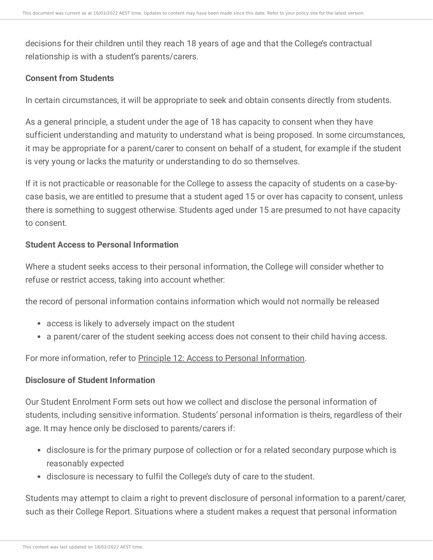decisions for their children until they reach 18 years of age and that the College's contractual relationship is with a student's parents/carers.

#### **Consent from Students**

In certain circumstances, it will be appropriate to seek and obtain consents directly from students.

As a general principle, a student under the age of 18 has capacity to consent when they have sufficient understanding and maturity to understand what is being proposed. In some circumstances, it may be appropriate for a parent/carer to consent on behalf of a student, for example if the student is very young or lacks the maturity or understanding to do so themselves.

If it is not practicable or reasonable for the College to assess the capacity of students on a case-bycase basis, we are entitled to presume that a student aged 15 or over has capacity to consent, unless there is something to suggest otherwise. Students aged under 15 are presumed to not have capacity to consent.

#### **Student Access to Personal Information**

Where a student seeks access to their personal information, the College will consider whether to refuse or restrict access, taking into account whether:

the record of personal information contains information which would not normally be released

- access is likely to adversely impact on the student
- a parent/carer of the student seeking access does not consent to their child having access.

#### For more information, refer to Principle 12: Access to Personal [Information.](https://ce-viewer.com/module/209/page/8a75f267-a92d-4989-b83d-9a972214199a.md)

#### **Disclosure of Student Information**

Our Student Enrolment Form sets out how we collect and disclose the personal information of students, including sensitive information. Students' personal information is theirs, regardless of their age. It may hence only be disclosed to parents/carers if:

- disclosure is for the primary purpose of collection or for a related secondary purpose which is reasonably expected
- disclosure is necessary to fulfil the College's duty of care to the student.

Students may attempt to claim a right to prevent disclosure of personal information to a parent/carer, such as their College Report. Situations where a student makes a request that personal information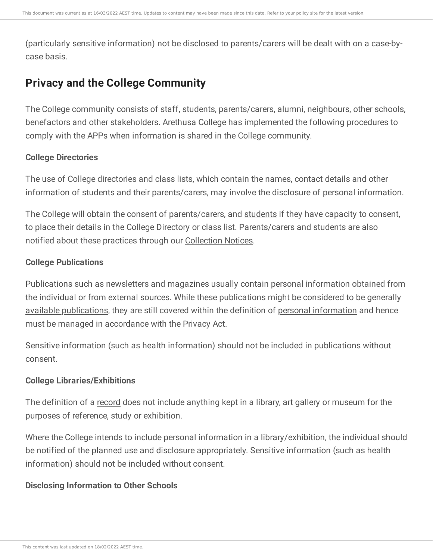(particularly sensitive information) not be disclosed to parents/carers will be dealt with on a case-bycase basis.

# **Privacy and the College Community**

The College community consists of staff, students, parents/carers, alumni, neighbours, other schools, benefactors and other stakeholders. Arethusa College has implemented the following procedures to comply with the APPs when information is shared in the College community.

#### **College Directories**

The use of College directories and class lists, which contain the names, contact details and other information of students and their parents/carers, may involve the disclosure of personal information.

The College will obtain the consent of parents/carers, and [students](https://ce-viewer.com/module/209/page/33002140-2db7-4ed6-820a-f7119d2f546a.md) if they have capacity to consent, to place their details in the College Directory or class list. Parents/carers and students are also notified about these practices through our [Collection](https://ce-viewer.com/module/209/page/2dec2af4-450c-4c57-a088-650eac923f5e.md) Notices.

#### **College Publications**

Publications such as newsletters and magazines usually contain personal information obtained from the individual or from external sources. While these publications might be considered to be generally available [publications,](https://ce-viewer.com/module/209/page/e2c95b15-9cea-46e9-a962-a84eedf529f3.md) they are still covered within the definition of personal [information](https://ce-viewer.com/module/209/page/ff1017fc-5628-462c-8737-b0882b3fa402.md) and hence must be managed in accordance with the Privacy Act.

Sensitive information (such as health information) should not be included in publications without consent.

## **College Libraries/Exhibitions**

The definition of a [record](https://ce-viewer.com/module/209/page/e2c95b15-9cea-46e9-a962-a84eedf529f3.md) does not include anything kept in a library, art gallery or museum for the purposes of reference, study or exhibition.

Where the College intends to include personal information in a library/exhibition, the individual should be notified of the planned use and disclosure appropriately. Sensitive information (such as health information) should not be included without consent.

#### **Disclosing Information to Other Schools**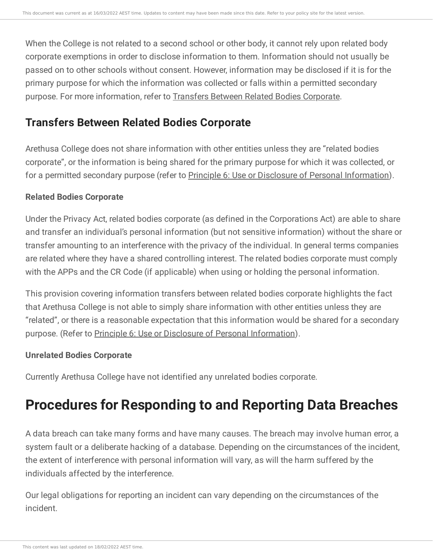When the College is not related to a second school or other body, it cannot rely upon related body corporate exemptions in order to disclose information to them. Information should not usually be passed on to other schools without consent. However, information may be disclosed if it is for the primary purpose for which the information was collected or falls within a permitted secondary purpose. For more information, refer to Transfers Between Related Bodies [Corporate.](https://ce-viewer.com/module/209/page/c7e69395-0c48-49f2-9089-5ed19ffdbb92.md)

# **Transfers Between Related Bodies Corporate**

Arethusa College does not share information with other entities unless they are "related bodies corporate", or the information is being shared for the primary purpose for which it was collected, or for a permitted secondary purpose (refer to Principle 6: Use or Disclosure of Personal [Information](https://ce-viewer.com/module/209/page/51452d1a-defa-4270-bb68-13466f98d604.md)).

## **Related Bodies Corporate**

Under the Privacy Act, related bodies corporate (as defined in the Corporations Act) are able to share and transfer an individual's personal information (but not sensitive information) without the share or transfer amounting to an interference with the privacy of the individual. In general terms companies are related where they have a shared controlling interest. The related bodies corporate must comply with the APPs and the CR Code (if applicable) when using or holding the personal information.

This provision covering information transfers between related bodies corporate highlights the fact that Arethusa College is not able to simply share information with other entities unless they are "related", or there is a reasonable expectation that this information would be shared for a secondary purpose. (Refer to Principle 6: Use or Disclosure of Personal [Information](https://ce-viewer.com/module/209/page/51452d1a-defa-4270-bb68-13466f98d604.md)).

# **Unrelated Bodies Corporate**

Currently Arethusa College have not identified any unrelated bodies corporate.

# **Procedures for Responding to and Reporting Data Breaches**

A data breach can take many forms and have many causes. The breach may involve human error, a system fault or a deliberate hacking of a database. Depending on the circumstances of the incident, the extent of interference with personal information will vary, as will the harm suffered by the individuals affected by the interference.

Our legal obligations for reporting an incident can vary depending on the circumstances of the incident.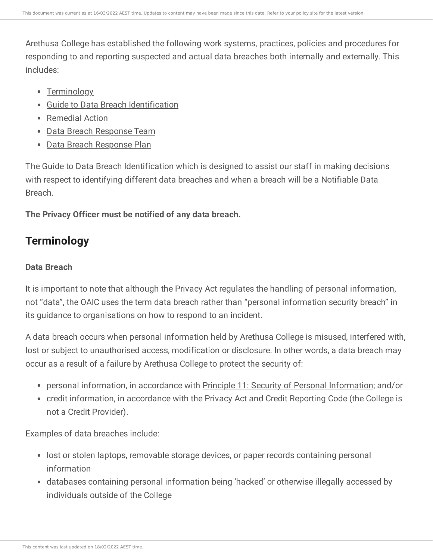Arethusa College has established the following work systems, practices, policies and procedures for responding to and reporting suspected and actual data breaches both internally and externally. This includes:

- [Terminology](https://ce-viewer.com/module/209/page/ca04f5db-1936-436f-a860-5de9b0a00cb1.md)
- Guide to Data Breach [Identification](https://ce-viewer.com/module/209/page/f379c2a1-556e-4a08-a4fc-13202dd462d8.md)
- [Remedial](https://ce-viewer.com/module/209/page/3029a5a7-e512-465b-90cf-0cbad9cadd4e.md) Action
- Data Breach [Response](https://ce-viewer.com/module/209/page/b31f1d36-7727-4867-b083-3bb96a56b47f.md) Team
- Data Breach [Response](https://ce-viewer.com/module/209/page/9c2cfce4-c437-4ef6-8565-bbbc758e2edf.md) Plan

The Guide to Data Breach [Identification](https://ce-viewer.com/module/209/page/f379c2a1-556e-4a08-a4fc-13202dd462d8.md) which is designed to assist our staff in making decisions with respect to identifying different data breaches and when a breach will be a Notifiable Data Breach.

**The Privacy Officer must be notified of any data breach.**

# **Terminology**

## **Data Breach**

It is important to note that although the Privacy Act regulates the handling of personal information, not "data", the OAIC uses the term data breach rather than "personal information security breach" in its guidance to organisations on how to respond to an incident.

A data breach occurs when personal information held by Arethusa College is misused, interfered with, lost or subject to unauthorised access, modification or disclosure. In other words, a data breach may occur as a result of a failure by Arethusa College to protect the security of:

- personal information, in accordance with Principle 11: Security of Personal [Information](https://ce-viewer.com/module/209/page/54fcffa6-c94b-4e57-87bf-849aa1b693c9.md); and/or
- credit information, in accordance with the Privacy Act and Credit Reporting Code (the College is not a Credit Provider).

Examples of data breaches include:

- lost or stolen laptops, removable storage devices, or paper records containing personal information
- databases containing personal information being 'hacked' or otherwise illegally accessed by individuals outside of the College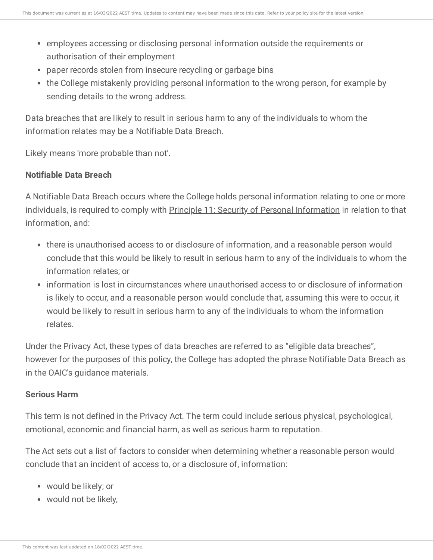- employees accessing or disclosing personal information outside the requirements or authorisation of their employment
- paper records stolen from insecure recycling or garbage bins
- the College mistakenly providing personal information to the wrong person, for example by sending details to the wrong address.

Data breaches that are likely to result in serious harm to any of the individuals to whom the information relates may be a Notifiable Data Breach.

Likely means 'more probable than not'.

#### **Notifiable Data Breach**

A Notifiable Data Breach occurs where the College holds personal information relating to one or more individuals, is required to comply with Principle 11: Security of Personal [Information](https://ce-viewer.com/module/209/page/54fcffa6-c94b-4e57-87bf-849aa1b693c9.md) in relation to that information, and:

- there is unauthorised access to or disclosure of information, and a reasonable person would conclude that this would be likely to result in serious harm to any of the individuals to whom the information relates; or
- information is lost in circumstances where unauthorised access to or disclosure of information is likely to occur, and a reasonable person would conclude that, assuming this were to occur, it would be likely to result in serious harm to any of the individuals to whom the information relates.

Under the Privacy Act, these types of data breaches are referred to as "eligible data breaches", however for the purposes of this policy, the College has adopted the phrase Notifiable Data Breach as in the OAIC's guidance materials.

#### **Serious Harm**

This term is not defined in the Privacy Act. The term could include serious physical, psychological, emotional, economic and financial harm, as well as serious harm to reputation.

The Act sets out a list of factors to consider when determining whether a reasonable person would conclude that an incident of access to, or a disclosure of, information:

- would be likely; or
- would not be likely,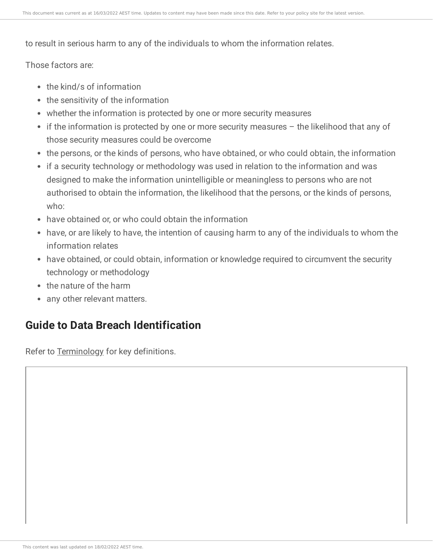to result in serious harm to any of the individuals to whom the information relates.

Those factors are:

- the kind/s of information
- the sensitivity of the information
- whether the information is protected by one or more security measures
- $\bullet$  if the information is protected by one or more security measures  $-$  the likelihood that any of those security measures could be overcome
- the persons, or the kinds of persons, who have obtained, or who could obtain, the information
- if a security technology or methodology was used in relation to the information and was designed to make the information unintelligible or meaningless to persons who are not authorised to obtain the information, the likelihood that the persons, or the kinds of persons, who:
- have obtained or, or who could obtain the information
- have, or are likely to have, the intention of causing harm to any of the individuals to whom the information relates
- have obtained, or could obtain, information or knowledge required to circumvent the security technology or methodology
- the nature of the harm
- any other relevant matters.

# **Guide to Data Breach Identification**

Refer to [Terminology](https://ce-viewer.com/module/209/page/ca04f5db-1936-436f-a860-5de9b0a00cb1.md) for key definitions.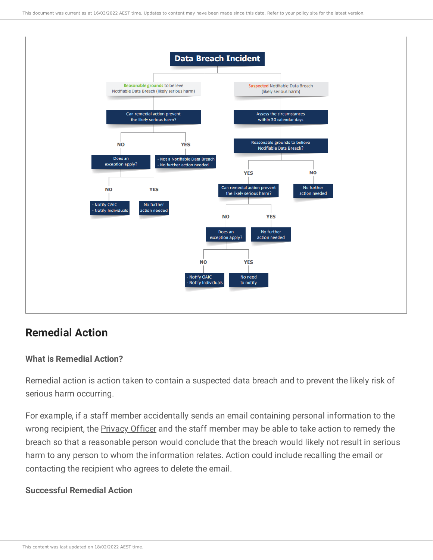

# **Remedial Action**

#### **What is Remedial Action?**

Remedial action is action taken to contain a suspected data breach and to prevent the likely risk of serious harm occurring.

For example, if a staff member accidentally sends an email containing personal information to the wrong recipient, the [Privacy](https://ce-viewer.com/module/209/page/a3a54663-c4af-4214-9ec2-206605aff844.md) Officer and the staff member may be able to take action to remedy the breach so that a reasonable person would conclude that the breach would likely not result in serious harm to any person to whom the information relates. Action could include recalling the email or contacting the recipient who agrees to delete the email.

#### **Successful Remedial Action**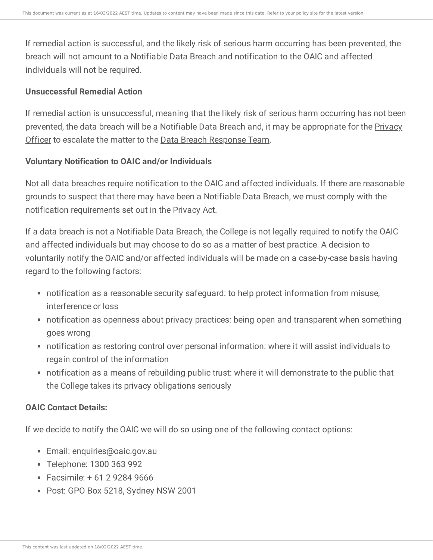If remedial action is successful, and the likely risk of serious harm occurring has been prevented, the breach will not amount to a Notifiable Data Breach and notification to the OAIC and affected individuals will not be required.

#### **Unsuccessful Remedial Action**

If remedial action is unsuccessful, meaning that the likely risk of serious harm occurring has not been prevented, the data breach will be a Notifiable Data Breach and, it may be [appropriate](https://ce-viewer.com/module/209/page/a3a54663-c4af-4214-9ec2-206605aff844.md) for the Privacy Officer to escalate the matter to the Data Breach [Response](https://ce-viewer.com/module/209/page/b31f1d36-7727-4867-b083-3bb96a56b47f.md) Team.

#### **Voluntary Notification to OAIC and/or Individuals**

Not all data breaches require notification to the OAIC and affected individuals. If there are reasonable grounds to suspect that there may have been a Notifiable Data Breach, we must comply with the notification requirements set out in the Privacy Act.

If a data breach is not a Notifiable Data Breach, the College is not legally required to notify the OAIC and affected individuals but may choose to do so as a matter of best practice. A decision to voluntarily notify the OAIC and/or affected individuals will be made on a case-by-case basis having regard to the following factors:

- notification as a reasonable security safeguard: to help protect information from misuse, interference or loss
- notification as openness about privacy practices: being open and transparent when something goes wrong
- notification as restoring control over personal information: where it will assist individuals to regain control of the information
- notification as a means of rebuilding public trust: where it will demonstrate to the public that the College takes its privacy obligations seriously

#### **OAIC Contact Details:**

If we decide to notify the OAIC we will do so using one of the following contact options:

- Email: [enquiries@oaic.gov.au](mailto:enquiries@oaic.gov.au)
- Telephone: 1300 363 992
- Facsimile: + 61 2 9284 9666
- Post: GPO Box 5218, Sydney NSW 2001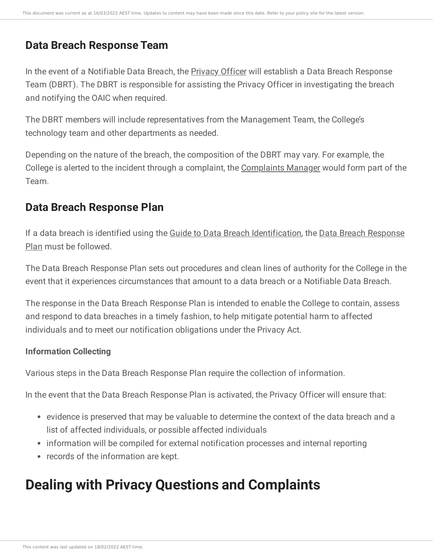# **Data Breach Response Team**

In the event of a Notifiable Data Breach, the [Privacy](https://ce-viewer.com/module/209/page/a3a54663-c4af-4214-9ec2-206605aff844.md) Officer will establish a Data Breach Response Team (DBRT). The DBRT is responsible for assisting the Privacy Officer in investigating the breach and notifying the OAIC when required.

The DBRT members will include representatives from the Management Team, the College's technology team and other departments as needed.

Depending on the nature of the breach, the composition of the DBRT may vary. For example, the College is alerted to the incident through a complaint, the [Complaints](https://ce-viewer.com/module/221/page/0a6a4d56-71d6-431d-ac69-dc56372b87d3.md) Manager would form part of the Team.

# **Data Breach Response Plan**

If a data breach is identified using the Guide to Data Breach [Identification](https://ce-viewer.com/module/209/page/f379c2a1-556e-4a08-a4fc-13202dd462d8.md)[,](https://ce-viewer.com/module/209/page/2dec2af4-450c-4c57-a088-650eac923f5e.md) the Data Breach Response Plan must be followed.

The Data Breach Response Plan sets out procedures and clean lines of authority for the College in the event that it experiences circumstances that amount to a data breach or a Notifiable Data Breach.

The response in the Data Breach Response Plan is intended to enable the College to contain, assess and respond to data breaches in a timely fashion, to help mitigate potential harm to affected individuals and to meet our notification obligations under the Privacy Act.

# **Information Collecting**

Various steps in the Data Breach Response Plan require the collection of information.

In the event that the Data Breach Response Plan is activated, the Privacy Officer will ensure that:

- evidence is preserved that may be valuable to determine the context of the data breach and a list of affected individuals, or possible affected individuals
- information will be compiled for external notification processes and internal reporting
- records of the information are kept.

# **Dealing with Privacy Questions and Complaints**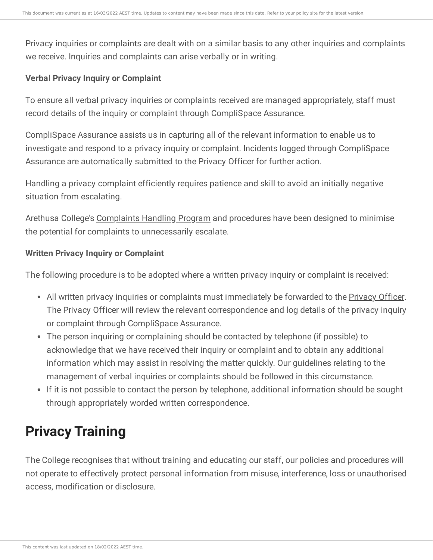Privacy inquiries or complaints are dealt with on a similar basis to any other inquiries and complaints we receive. Inquiries and complaints can arise verbally or in writing.

#### **Verbal Privacy Inquiry or Complaint**

To ensure all verbal privacy inquiries or complaints received are managed appropriately, staff must record details of the inquiry or complaint through CompliSpace Assurance.

CompliSpace Assurance assists us in capturing all of the relevant information to enable us to investigate and respond to a privacy inquiry or complaint. Incidents logged through CompliSpace Assurance are automatically submitted to the Privacy Officer for further action.

Handling a privacy complaint efficiently requires patience and skill to avoid an initially negative situation from escalating.

Arethusa College's [Complaints](https://ce-viewer.com/module/221/page/README.md) Handling Program and procedures have been designed to minimise the potential for complaints to unnecessarily escalate.

#### **Written Privacy Inquiry or Complaint**

The following procedure is to be adopted where a written privacy inquiry or complaint is received:

- All written privacy inquiries or complaints must immediately be forwarded to the [Privacy](https://ce-viewer.com/module/209/page/a3a54663-c4af-4214-9ec2-206605aff844.md) Officer. The Privacy Officer will review the relevant correspondence and log details of the privacy inquiry or complaint through CompliSpace Assurance.
- The person inquiring or complaining should be contacted by telephone (if possible) to acknowledge that we have received their inquiry or complaint and to obtain any additional information which may assist in resolving the matter quickly. Our guidelines relating to the management of verbal inquiries or complaints should be followed in this circumstance.
- If it is not possible to contact the person by telephone, additional information should be sought through appropriately worded written correspondence.

# **Privacy Training**

The College recognises that without training and educating our staff, our policies and procedures will not operate to effectively protect personal information from misuse, interference, loss or unauthorised access, modification or disclosure.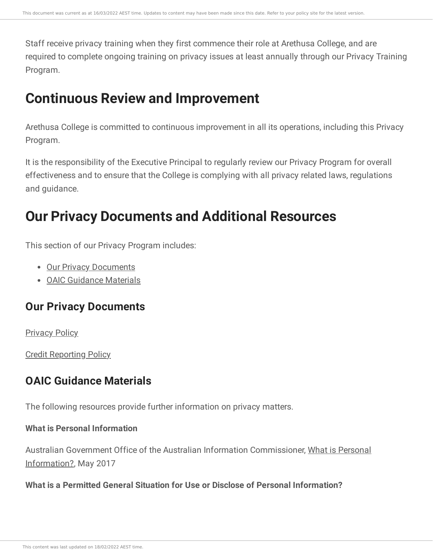Staff receive privacy training when they first commence their role at Arethusa College, and are required to complete ongoing training on privacy issues at least annually through our Privacy Training Program.

# **Continuous Review and Improvement**

Arethusa College is committed to continuous improvement in all its operations, including this Privacy Program.

It is the responsibility of the Executive Principal to regularly review our Privacy Program for overall effectiveness and to ensure that the College is complying with all privacy related laws, regulations and guidance.

# **Our Privacy Documents and Additional Resources**

This section of our Privacy Program includes:

- Our Privacy [Documents](https://ce-viewer.com/module/209/page/2dec2af4-450c-4c57-a088-650eac923f5e.md)
- OAIC [Guidance](https://ce-viewer.com/module/209/page/a429c9a8-0529-44bb-9b2d-7edddba7f196.md) Materials

# **Our Privacy Documents**

**[Privacy](https://arethusaqld.csassurance.com/refdoc_atts/38f16e50-6e81-0139-f399-0a591e35aace) Policy** 

Credit [Reporting](https://arethusaqld.csassurance.com/refdoc_atts/4b4fa130-6e81-0139-f39a-0a591e35aace) Policy

# **OAIC Guidance Materials**

The following resources provide further information on privacy matters.

# **What is Personal Information**

Australian Government Office of the Australian Information [Commissioner,](https://www.oaic.gov.au/privacy/australian-privacy-principles-guidelines/chapter-b-key-concepts/#personal-information) What is Personal Information?, May 2017

## **What is a Permitted General Situation for Use or Disclose of Personal Information?**